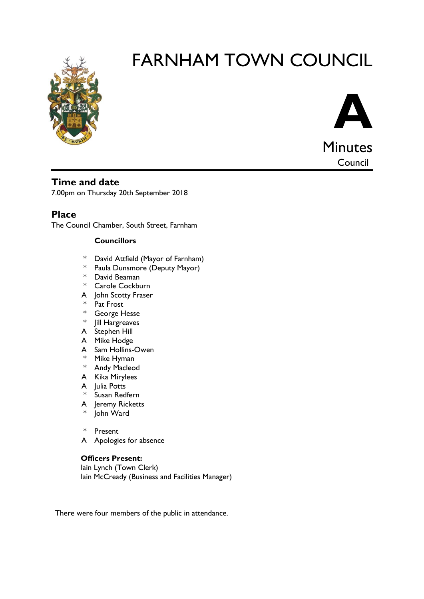

# FARNHAM TOWN COUNCIL



**Time and date**

7.00pm on Thursday 20th September 2018

**Place**

The Council Chamber, South Street, Farnham

#### **Councillors**

- \* David Attfield (Mayor of Farnham)
- \* Paula Dunsmore (Deputy Mayor)
- \* David Beaman
- \* Carole Cockburn
- A John Scotty Fraser
- \* Pat Frost
- \* George Hesse
- \* Jill Hargreaves
- A Stephen Hill
- A Mike Hodge
- A Sam Hollins-Owen
- \* Mike Hyman
- \* Andy Macleod
- A Kika Mirylees
- A Julia Potts
- \* Susan Redfern
- A Jeremy Ricketts
- \* John Ward
- \* Present
- A Apologies for absence

#### **Officers Present:**

Iain Lynch (Town Clerk) Iain McCready (Business and Facilities Manager)

There were four members of the public in attendance.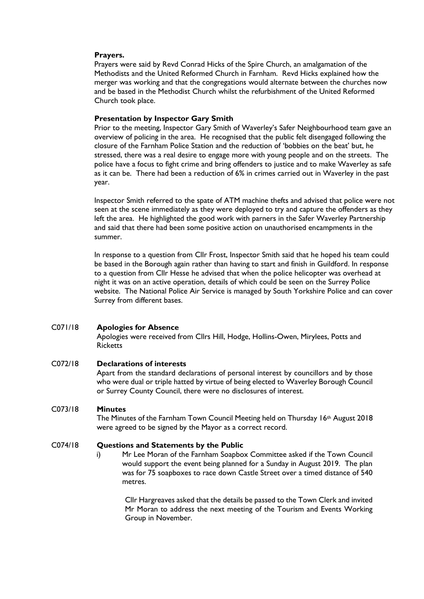#### **Prayers.**

Prayers were said by Revd Conrad Hicks of the Spire Church, an amalgamation of the Methodists and the United Reformed Church in Farnham. Revd Hicks explained how the merger was working and that the congregations would alternate between the churches now and be based in the Methodist Church whilst the refurbishment of the United Reformed Church took place.

#### **Presentation by Inspector Gary Smith**

Prior to the meeting, Inspector Gary Smith of Waverley's Safer Neighbourhood team gave an overview of policing in the area. He recognised that the public felt disengaged following the closure of the Farnham Police Station and the reduction of 'bobbies on the beat' but, he stressed, there was a real desire to engage more with young people and on the streets. The police have a focus to fight crime and bring offenders to justice and to make Waverley as safe as it can be. There had been a reduction of 6% in crimes carried out in Waverley in the past year.

Inspector Smith referred to the spate of ATM machine thefts and advised that police were not seen at the scene immediately as they were deployed to try and capture the offenders as they left the area. He highlighted the good work with parners in the Safer Waverley Partnership and said that there had been some positive action on unauthorised encampments in the summer.

In response to a question from Cllr Frost, Inspector Smith said that he hoped his team could be based in the Borough again rather than having to start and finish in Guildford. In response to a question from Cllr Hesse he advised that when the police helicopter was overhead at night it was on an active operation, details of which could be seen on the Surrey Police website. The National Police Air Service is managed by South Yorkshire Police and can cover Surrey from different bases.

#### C071/18 **Apologies for Absence**

Apologies were received from Cllrs Hill, Hodge, Hollins-Owen, Mirylees, Potts and **Ricketts** 

#### C072/18 **Declarations of interests**

Apart from the standard declarations of personal interest by councillors and by those who were dual or triple hatted by virtue of being elected to Waverley Borough Council or Surrey County Council, there were no disclosures of interest.

#### C073/18 **Minutes**

The Minutes of the Farnham Town Council Meeting held on Thursday 16<sup>th</sup> August 2018 were agreed to be signed by the Mayor as a correct record.

#### C074/18 **Questions and Statements by the Public**

i) Mr Lee Moran of the Farnham Soapbox Committee asked if the Town Council would support the event being planned for a Sunday in August 2019. The plan was for 75 soapboxes to race down Castle Street over a timed distance of 540 metres.

> Cllr Hargreaves asked that the details be passed to the Town Clerk and invited Mr Moran to address the next meeting of the Tourism and Events Working Group in November.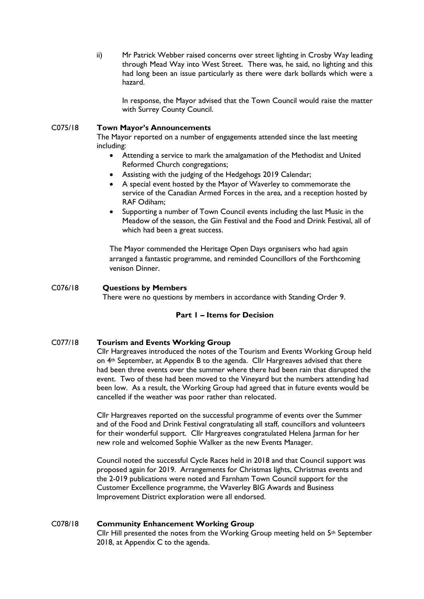ii) Mr Patrick Webber raised concerns over street lighting in Crosby Way leading through Mead Way into West Street. There was, he said, no lighting and this had long been an issue particularly as there were dark bollards which were a hazard.

In response, the Mayor advised that the Town Council would raise the matter with Surrey County Council.

#### C075/18 **Town Mayor's Announcements**

The Mayor reported on a number of engagements attended since the last meeting including:

- Attending a service to mark the amalgamation of the Methodist and United Reformed Church congregations;
- Assisting with the judging of the Hedgehogs 2019 Calendar;
- A special event hosted by the Mayor of Waverley to commemorate the service of the Canadian Armed Forces in the area, and a reception hosted by RAF Odiham;
- Supporting a number of Town Council events including the last Music in the Meadow of the season, the Gin Festival and the Food and Drink Festival, all of which had been a great success.

The Mayor commended the Heritage Open Days organisers who had again arranged a fantastic programme, and reminded Councillors of the Forthcoming venison Dinner.

C076/18 **Questions by Members** There were no questions by members in accordance with Standing Order 9.

#### **Part 1 – Items for Decision**

#### C077/18 **Tourism and Events Working Group**

Cllr Hargreaves introduced the notes of the Tourism and Events Working Group held on 4th September, at Appendix B to the agenda. Cllr Hargreaves advised that there had been three events over the summer where there had been rain that disrupted the event. Two of these had been moved to the Vineyard but the numbers attending had been low. As a result, the Working Group had agreed that in future events would be cancelled if the weather was poor rather than relocated.

Cllr Hargreaves reported on the successful programme of events over the Summer and of the Food and Drink Festival congratulating all staff, councillors and volunteers for their wonderful support. Cllr Hargreaves congratulated Helena Jarman for her new role and welcomed Sophie Walker as the new Events Manager.

Council noted the successful Cycle Races held in 2018 and that Council support was proposed again for 2019. Arrangements for Christmas lights, Christmas events and the 2-019 publications were noted and Farnham Town Council support for the Customer Excellence programme, the Waverley BIG Awards and Business Improvement District exploration were all endorsed.

#### C078/18 **Community Enhancement Working Group**

Cllr Hill presented the notes from the Working Group meeting held on  $5<sup>th</sup>$  September 2018, at Appendix C to the agenda.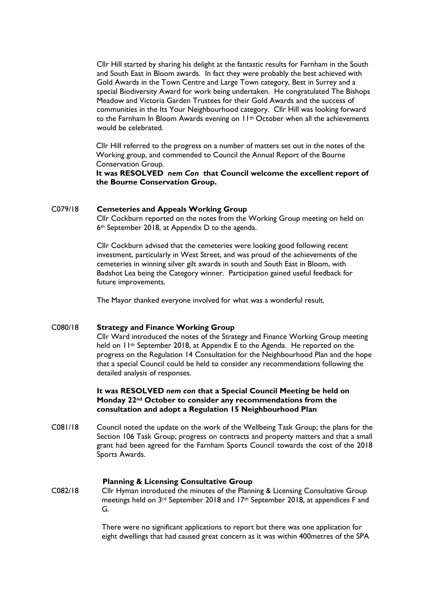Cllr Hill started by sharing his delight at the fantastic results for Farnham in the South and South East in Bloom awards. In fact they were probably the best achieved with Gold Awards in the Town Centre and Large Town category, Best in Surrey and a special Biodiversity Award for work being undertaken. He congratulated The Bishops Meadow and Victoria Garden Trustees for their Gold Awards and the success of communities in the Its Your Neighbourhood category. Cllr Hill was looking forward to the Farnham In Bloom Awards evening on 11<sup>th</sup> October when all the achievements would be celebrated.

Cllr Hill referred to the progress on a number of matters set out in the notes of the Working group, and commended to Council the Annual Report of the Bourne Conservation Group.

**It was RESOLVED** *nem Con* **that Council welcome the excellent report of the Bourne Conservation Group.**

#### C079/18 **Cemeteries and Appeals Working Group**

Cllr Cockburn reported on the notes from the Working Group meeting on held on 6th September 2018, at Appendix D to the agenda.

Cllr Cockburn advised that the cemeteries were looking good following recent investment, particularly in West Street, and was proud of the achievements of the cemeteries in winning silver gilt awards in south and South East in Bloom, with Badshot Lea being the Category winner. Participation gained useful feedback for future improvements.

The Mayor thanked everyone involved for what was a wonderful result.

#### C080/18 **Strategy and Finance Working Group**

Cllr Ward introduced the notes of the Strategy and Finance Working Group meeting held on 11<sup>th</sup> September 2018, at Appendix E to the Agenda. He reported on the progress on the Regulation 14 Consultation for the Neighbourhood Plan and the hope that a special Council could be held to consider any recommendations following the detailed analysis of responses.

#### **It was RESOLVED** *nem con* **that a Special Council Meeting be held on Monday 22nd October to consider any recommendations from the consultation and adopt a Regulation 15 Neighbourhood Plan**

C081/18 Council noted the update on the work of the Wellbeing Task Group; the plans for the Section 106 Task Group; progress on contracts and property matters and that a small grant had been agreed for the Farnham Sports Council towards the cost of the 2018 Sports Awards.

#### **Planning & Licensing Consultative Group**

C082/18 Cllr Hyman introduced the minutes of the Planning & Licensing Consultative Group meetings held on  $3^{rd}$  September 2018 and  $17^{th}$  September 2018, at appendices F and G.

> There were no significant applications to report but there was one application for eight dwellings that had caused great concern as it was within 400metres of the SPA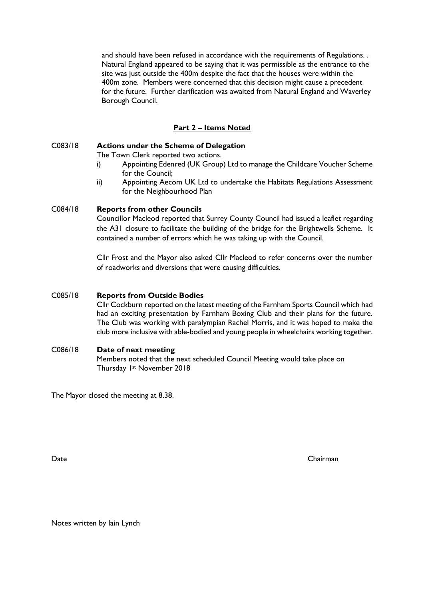and should have been refused in accordance with the requirements of Regulations. . Natural England appeared to be saying that it was permissible as the entrance to the site was just outside the 400m despite the fact that the houses were within the 400m zone. Members were concerned that this decision might cause a precedent for the future. Further clarification was awaited from Natural England and Waverley Borough Council.

#### **Part 2 – Items Noted**

#### C083/18 **Actions under the Scheme of Delegation**

The Town Clerk reported two actions.

- i) Appointing Edenred (UK Group) Ltd to manage the Childcare Voucher Scheme for the Council;
- ii) Appointing Aecom UK Ltd to undertake the Habitats Regulations Assessment for the Neighbourhood Plan

#### C084/18 **Reports from other Councils**

Councillor Macleod reported that Surrey County Council had issued a leaflet regarding the A31 closure to facilitate the building of the bridge for the Brightwells Scheme. It contained a number of errors which he was taking up with the Council.

Cllr Frost and the Mayor also asked Cllr Macleod to refer concerns over the number of roadworks and diversions that were causing difficulties.

#### C085/18 **Reports from Outside Bodies**

Cllr Cockburn reported on the latest meeting of the Farnham Sports Council which had had an exciting presentation by Farnham Boxing Club and their plans for the future. The Club was working with paralympian Rachel Morris, and it was hoped to make the club more inclusive with able-bodied and young people in wheelchairs working together.

#### C086/18 **Date of next meeting**

Members noted that the next scheduled Council Meeting would take place on Thursday 1st November 2018

The Mayor closed the meeting at 8.38.

Date Chairman

Notes written by Iain Lynch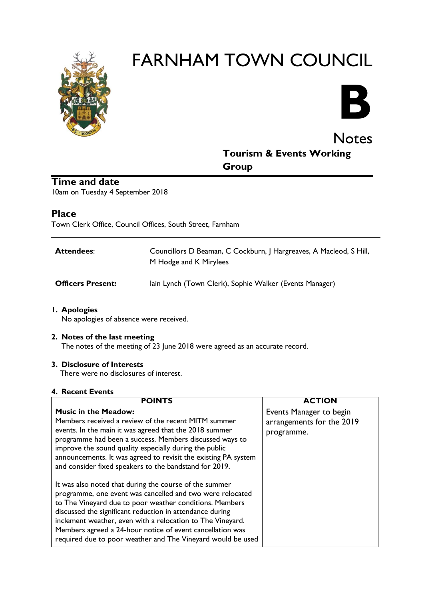

# FARNHAM TOWN COUNCIL



# **Notes Tourism & Events Working Group**

# **Time and date**

10am on Tuesday 4 September 2018

### **Place**

Town Clerk Office, Council Offices, South Street, Farnham

| <b>Attendees:</b>        | Councillors D Beaman, C Cockburn, J Hargreaves, A Macleod, S Hill,<br>M Hodge and K Mirylees |
|--------------------------|----------------------------------------------------------------------------------------------|
| <b>Officers Present:</b> | lain Lynch (Town Clerk), Sophie Walker (Events Manager)                                      |

#### **1. Apologies**

No apologies of absence were received.

#### **2. Notes of the last meeting**

The notes of the meeting of 23 June 2018 were agreed as an accurate record.

#### **3. Disclosure of Interests**

There were no disclosures of interest.

#### **4. Recent Events**

| <b>POINTS</b>                                                                                                                                                                                                                                                                                                                                                                                                                        | <b>ACTION</b>                                                      |
|--------------------------------------------------------------------------------------------------------------------------------------------------------------------------------------------------------------------------------------------------------------------------------------------------------------------------------------------------------------------------------------------------------------------------------------|--------------------------------------------------------------------|
| <b>Music in the Meadow:</b><br>Members received a review of the recent MITM summer<br>events. In the main it was agreed that the 2018 summer<br>programme had been a success. Members discussed ways to<br>improve the sound quality especially during the public<br>announcements. It was agreed to revisit the existing PA system<br>and consider fixed speakers to the bandstand for 2019.                                        | Events Manager to begin<br>arrangements for the 2019<br>programme. |
| It was also noted that during the course of the summer<br>programme, one event was cancelled and two were relocated<br>to The Vineyard due to poor weather conditions. Members<br>discussed the significant reduction in attendance during<br>inclement weather, even with a relocation to The Vineyard.<br>Members agreed a 24-hour notice of event cancellation was<br>required due to poor weather and The Vineyard would be used |                                                                    |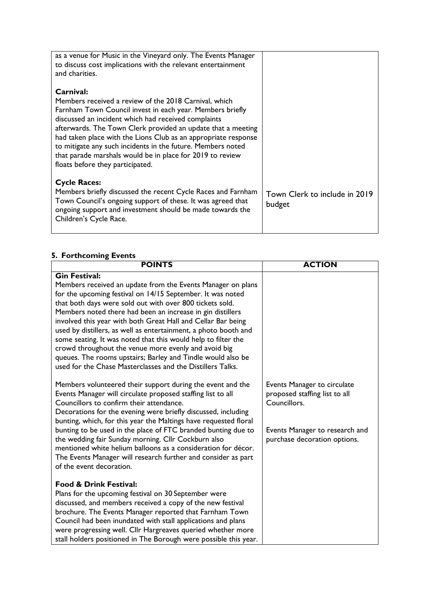| as a venue for Music in the Vineyard only. The Events Manager<br>to discuss cost implications with the relevant entertainment<br>and charities. |                               |
|-------------------------------------------------------------------------------------------------------------------------------------------------|-------------------------------|
| Carnival:                                                                                                                                       |                               |
| Members received a review of the 2018 Carnival, which                                                                                           |                               |
| Farnham Town Council invest in each year. Members briefly                                                                                       |                               |
| discussed an incident which had received complaints                                                                                             |                               |
| afterwards. The Town Clerk provided an update that a meeting                                                                                    |                               |
| had taken place with the Lions Club as an appropriate response<br>to mitigate any such incidents in the future. Members noted                   |                               |
| that parade marshals would be in place for 2019 to review                                                                                       |                               |
| floats before they participated.                                                                                                                |                               |
|                                                                                                                                                 |                               |
| <b>Cycle Races:</b>                                                                                                                             |                               |
| Members briefly discussed the recent Cycle Races and Farnham                                                                                    | Town Clerk to include in 2019 |
| Town Council's ongoing support of these. It was agreed that                                                                                     | budget                        |
| ongoing support and investment should be made towards the                                                                                       |                               |
| Children's Cycle Race.                                                                                                                          |                               |
|                                                                                                                                                 |                               |

#### **5. Forthcoming Events**

| <b>POINTS</b>                                                                                                                                                                                                                                                                                                                                                                                                                                                                                                                                                                                                                                                        | <b>ACTION</b>                                                                                                                                  |
|----------------------------------------------------------------------------------------------------------------------------------------------------------------------------------------------------------------------------------------------------------------------------------------------------------------------------------------------------------------------------------------------------------------------------------------------------------------------------------------------------------------------------------------------------------------------------------------------------------------------------------------------------------------------|------------------------------------------------------------------------------------------------------------------------------------------------|
| <b>Gin Festival:</b><br>Members received an update from the Events Manager on plans<br>for the upcoming festival on 14/15 September. It was noted<br>that both days were sold out with over 800 tickets sold.<br>Members noted there had been an increase in gin distillers<br>involved this year with both Great Hall and Cellar Bar being<br>used by distillers, as well as entertainment, a photo booth and<br>some seating. It was noted that this would help to filter the<br>crowd throughout the venue more evenly and avoid big<br>queues. The rooms upstairs; Barley and Tindle would also be<br>used for the Chase Masterclasses and the Distillers Talks. |                                                                                                                                                |
| Members volunteered their support during the event and the<br>Events Manager will circulate proposed staffing list to all<br>Councillors to confirm their attendance.<br>Decorations for the evening were briefly discussed, including<br>bunting, which, for this year the Maltings have requested floral<br>bunting to be used in the place of FTC branded bunting due to<br>the wedding fair Sunday morning. Cllr Cockburn also<br>mentioned white helium balloons as a consideration for décor.<br>The Events Manager will research further and consider as part<br>of the event decoration.                                                                     | Events Manager to circulate<br>proposed staffing list to all<br>Councillors.<br>Events Manager to research and<br>purchase decoration options. |
| <b>Food &amp; Drink Festival:</b><br>Plans for the upcoming festival on 30 September were<br>discussed, and members received a copy of the new festival<br>brochure. The Events Manager reported that Farnham Town<br>Council had been inundated with stall applications and plans<br>were progressing well. Cllr Hargreaves queried whether more<br>stall holders positioned in The Borough were possible this year.                                                                                                                                                                                                                                                |                                                                                                                                                |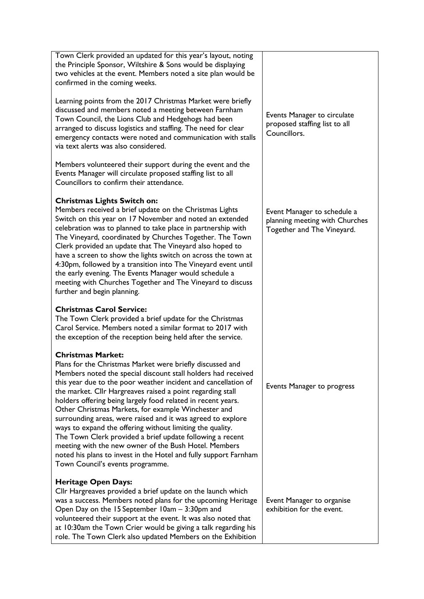| Town Clerk provided an updated for this year's layout, noting<br>the Principle Sponsor, Wiltshire & Sons would be displaying<br>two vehicles at the event. Members noted a site plan would be<br>confirmed in the coming weeks.                                                                                                                                                                                                                                                                                                                                                                                                                                                                                                                                         |                                                                                             |
|-------------------------------------------------------------------------------------------------------------------------------------------------------------------------------------------------------------------------------------------------------------------------------------------------------------------------------------------------------------------------------------------------------------------------------------------------------------------------------------------------------------------------------------------------------------------------------------------------------------------------------------------------------------------------------------------------------------------------------------------------------------------------|---------------------------------------------------------------------------------------------|
| Learning points from the 2017 Christmas Market were briefly<br>discussed and members noted a meeting between Farnham<br>Town Council, the Lions Club and Hedgehogs had been<br>arranged to discuss logistics and staffing. The need for clear<br>emergency contacts were noted and communication with stalls<br>via text alerts was also considered.                                                                                                                                                                                                                                                                                                                                                                                                                    | Events Manager to circulate<br>proposed staffing list to all<br>Councillors.                |
| Members volunteered their support during the event and the<br>Events Manager will circulate proposed staffing list to all<br>Councillors to confirm their attendance.                                                                                                                                                                                                                                                                                                                                                                                                                                                                                                                                                                                                   |                                                                                             |
| <b>Christmas Lights Switch on:</b><br>Members received a brief update on the Christmas Lights<br>Switch on this year on 17 November and noted an extended<br>celebration was to planned to take place in partnership with<br>The Vineyard, coordinated by Churches Together. The Town<br>Clerk provided an update that The Vineyard also hoped to<br>have a screen to show the lights switch on across the town at<br>4:30pm, followed by a transition into The Vineyard event until<br>the early evening. The Events Manager would schedule a<br>meeting with Churches Together and The Vineyard to discuss<br>further and begin planning.                                                                                                                             | Event Manager to schedule a<br>planning meeting with Churches<br>Together and The Vineyard. |
| <b>Christmas Carol Service:</b><br>The Town Clerk provided a brief update for the Christmas<br>Carol Service. Members noted a similar format to 2017 with<br>the exception of the reception being held after the service.                                                                                                                                                                                                                                                                                                                                                                                                                                                                                                                                               |                                                                                             |
| <b>Christmas Market:</b><br>Plans for the Christmas Market were briefly discussed and<br>Members noted the special discount stall holders had received<br>this year due to the poor weather incident and cancellation of<br>the market. Cllr Hargreaves raised a point regarding stall<br>holders offering being largely food related in recent years.<br>Other Christmas Markets, for example Winchester and<br>surrounding areas, were raised and it was agreed to explore<br>ways to expand the offering without limiting the quality.<br>The Town Clerk provided a brief update following a recent<br>meeting with the new owner of the Bush Hotel. Members<br>noted his plans to invest in the Hotel and fully support Farnham<br>Town Council's events programme. | Events Manager to progress                                                                  |
| <b>Heritage Open Days:</b><br>Cllr Hargreaves provided a brief update on the launch which<br>was a success. Members noted plans for the upcoming Heritage<br>Open Day on the 15 September 10am - 3:30pm and<br>volunteered their support at the event. It was also noted that<br>at 10:30am the Town Crier would be giving a talk regarding his<br>role. The Town Clerk also updated Members on the Exhibition                                                                                                                                                                                                                                                                                                                                                          | Event Manager to organise<br>exhibition for the event.                                      |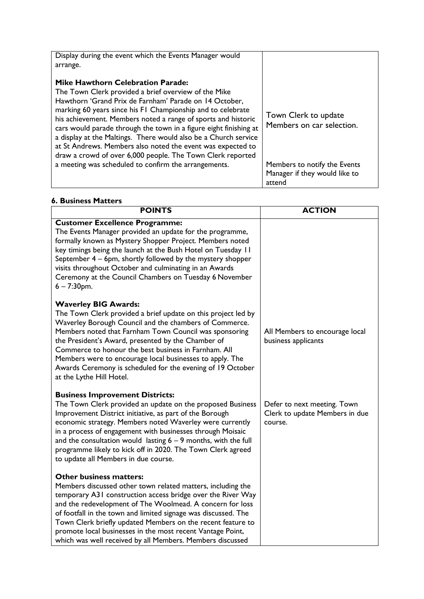| Display during the event which the Events Manager would<br>arrange.                                                                                                                                                                                                                                                                                                                                                                                                                                                                                             |                                                                         |
|-----------------------------------------------------------------------------------------------------------------------------------------------------------------------------------------------------------------------------------------------------------------------------------------------------------------------------------------------------------------------------------------------------------------------------------------------------------------------------------------------------------------------------------------------------------------|-------------------------------------------------------------------------|
| <b>Mike Hawthorn Celebration Parade:</b><br>The Town Clerk provided a brief overview of the Mike<br>Hawthorn 'Grand Prix de Farnham' Parade on 14 October,<br>marking 60 years since his FI Championship and to celebrate<br>his achievement. Members noted a range of sports and historic<br>cars would parade through the town in a figure eight finishing at<br>a display at the Maltings. There would also be a Church service<br>at St Andrews. Members also noted the event was expected to<br>draw a crowd of over 6,000 people. The Town Clerk reported | Town Clerk to update<br>Members on car selection.                       |
| a meeting was scheduled to confirm the arrangements.                                                                                                                                                                                                                                                                                                                                                                                                                                                                                                            | Members to notify the Events<br>Manager if they would like to<br>attend |

#### **6. Business Matters**

| <b>POINTS</b>                                                                                                                                                                                                                                                                                                                                                                                                                                                                         | <b>ACTION</b>                                                            |
|---------------------------------------------------------------------------------------------------------------------------------------------------------------------------------------------------------------------------------------------------------------------------------------------------------------------------------------------------------------------------------------------------------------------------------------------------------------------------------------|--------------------------------------------------------------------------|
| <b>Customer Excellence Programme:</b><br>The Events Manager provided an update for the programme,<br>formally known as Mystery Shopper Project. Members noted<br>key timings being the launch at the Bush Hotel on Tuesday 11<br>September 4 - 6pm, shortly followed by the mystery shopper<br>visits throughout October and culminating in an Awards<br>Ceremony at the Council Chambers on Tuesday 6 November<br>$6 - 7:30$ pm.                                                     |                                                                          |
| <b>Waverley BIG Awards:</b><br>The Town Clerk provided a brief update on this project led by<br>Waverley Borough Council and the chambers of Commerce.<br>Members noted that Farnham Town Council was sponsoring<br>the President's Award, presented by the Chamber of<br>Commerce to honour the best business in Farnham. All<br>Members were to encourage local businesses to apply. The<br>Awards Ceremony is scheduled for the evening of 19 October<br>at the Lythe Hill Hotel.  | All Members to encourage local<br>business applicants                    |
| <b>Business Improvement Districts:</b><br>The Town Clerk provided an update on the proposed Business<br>Improvement District initiative, as part of the Borough<br>economic strategy. Members noted Waverley were currently<br>in a process of engagement with businesses through Moisaic<br>and the consultation would lasting $6 - 9$ months, with the full<br>programme likely to kick off in 2020. The Town Clerk agreed<br>to update all Members in due course.                  | Defer to next meeting. Town<br>Clerk to update Members in due<br>course. |
| <b>Other business matters:</b><br>Members discussed other town related matters, including the<br>temporary A31 construction access bridge over the River Way<br>and the redevelopment of The Woolmead. A concern for loss<br>of footfall in the town and limited signage was discussed. The<br>Town Clerk briefly updated Members on the recent feature to<br>promote local businesses in the most recent Vantage Point,<br>which was well received by all Members. Members discussed |                                                                          |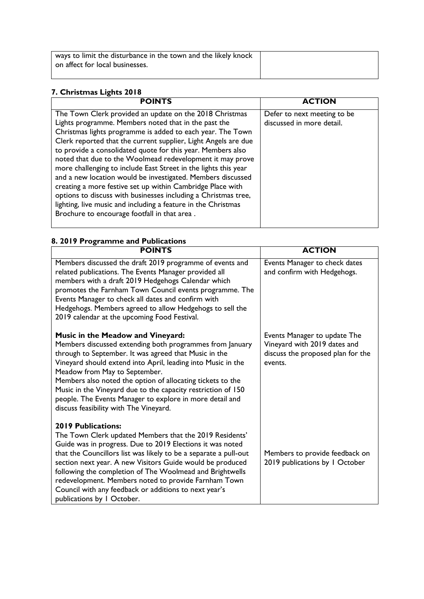| ways to limit the disturbance in the town and the likely knock |  |
|----------------------------------------------------------------|--|
| on affect for local businesses.                                |  |
|                                                                |  |

# **7. Christmas Lights 2018**

| <b>POINTS</b>                                                                                                                                                                                                                                                                                                                                                                                                                                                                                                                                                                                                                                                                                                                                                  | <b>ACTION</b>                                            |
|----------------------------------------------------------------------------------------------------------------------------------------------------------------------------------------------------------------------------------------------------------------------------------------------------------------------------------------------------------------------------------------------------------------------------------------------------------------------------------------------------------------------------------------------------------------------------------------------------------------------------------------------------------------------------------------------------------------------------------------------------------------|----------------------------------------------------------|
| The Town Clerk provided an update on the 2018 Christmas<br>Lights programme. Members noted that in the past the<br>Christmas lights programme is added to each year. The Town<br>Clerk reported that the current supplier, Light Angels are due<br>to provide a consolidated quote for this year. Members also<br>noted that due to the Woolmead redevelopment it may prove<br>more challenging to include East Street in the lights this year<br>and a new location would be investigated. Members discussed<br>creating a more festive set up within Cambridge Place with<br>options to discuss with businesses including a Christmas tree,<br>lighting, live music and including a feature in the Christmas<br>Brochure to encourage footfall in that area. | Defer to next meeting to be<br>discussed in more detail. |

# **8. 2019 Programme and Publications**

| <b>POINTS</b>                                                                                                                                                                                                                                                                                                                                                                                                                                                                                 | <b>ACTION</b>                                                                                                |
|-----------------------------------------------------------------------------------------------------------------------------------------------------------------------------------------------------------------------------------------------------------------------------------------------------------------------------------------------------------------------------------------------------------------------------------------------------------------------------------------------|--------------------------------------------------------------------------------------------------------------|
| Members discussed the draft 2019 programme of events and<br>related publications. The Events Manager provided all<br>members with a draft 2019 Hedgehogs Calendar which<br>promotes the Farnham Town Council events programme. The<br>Events Manager to check all dates and confirm with<br>Hedgehogs. Members agreed to allow Hedgehogs to sell the<br>2019 calendar at the upcoming Food Festival.                                                                                          | Events Manager to check dates<br>and confirm with Hedgehogs.                                                 |
| Music in the Meadow and Vineyard:<br>Members discussed extending both programmes from January<br>through to September. It was agreed that Music in the<br>Vineyard should extend into April, leading into Music in the<br>Meadow from May to September.<br>Members also noted the option of allocating tickets to the<br>Music in the Vineyard due to the capacity restriction of 150<br>people. The Events Manager to explore in more detail and<br>discuss feasibility with The Vineyard.   | Events Manager to update The<br>Vineyard with 2019 dates and<br>discuss the proposed plan for the<br>events. |
| <b>2019 Publications:</b><br>The Town Clerk updated Members that the 2019 Residents'<br>Guide was in progress. Due to 2019 Elections it was noted<br>that the Councillors list was likely to be a separate a pull-out<br>section next year. A new Visitors Guide would be produced<br>following the completion of The Woolmead and Brightwells<br>redevelopment. Members noted to provide Farnham Town<br>Council with any feedback or additions to next year's<br>publications by I October. | Members to provide feedback on<br>2019 publications by I October                                             |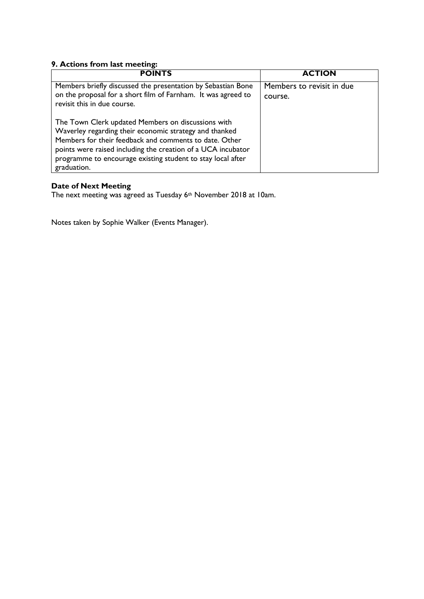### **9. Actions from last meeting:**

| <b>POINTS</b>                                                                                                                                                                                                                                                                                                        | <b>ACTION</b>                        |
|----------------------------------------------------------------------------------------------------------------------------------------------------------------------------------------------------------------------------------------------------------------------------------------------------------------------|--------------------------------------|
| Members briefly discussed the presentation by Sebastian Bone<br>on the proposal for a short film of Farnham. It was agreed to<br>revisit this in due course.                                                                                                                                                         | Members to revisit in due<br>course. |
| The Town Clerk updated Members on discussions with<br>Waverley regarding their economic strategy and thanked<br>Members for their feedback and comments to date. Other<br>points were raised including the creation of a UCA incubator<br>programme to encourage existing student to stay local after<br>graduation. |                                      |

### **Date of Next Meeting**

The next meeting was agreed as Tuesday 6<sup>th</sup> November 2018 at 10am.

Notes taken by Sophie Walker (Events Manager).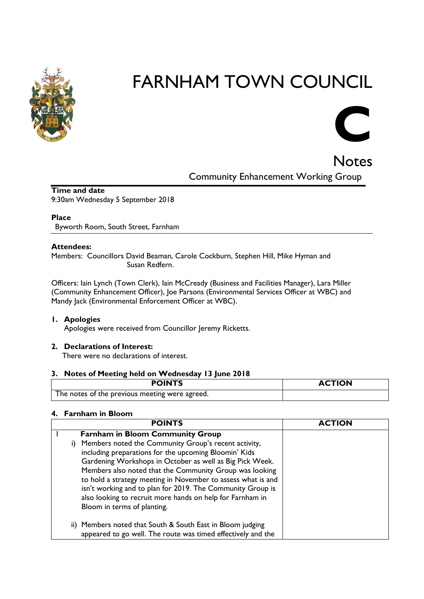

# FARNHAM TOWN COUNCIL

# **C**

# **Notes** Community Enhancement Working Group

**Time and date** 9:30am Wednesday 5 September 2018

#### **Place**

Byworth Room, South Street, Farnham

#### **Attendees:**

Members: Councillors David Beaman, Carole Cockburn, Stephen Hill, Mike Hyman and Susan Redfern.

Officers: Iain Lynch (Town Clerk), Iain McCready (Business and Facilities Manager), Lara Miller (Community Enhancement Officer), Joe Parsons (Environmental Services Officer at WBC) and Mandy Jack (Environmental Enforcement Officer at WBC).

#### **1. Apologies**

Apologies were received from Councillor Jeremy Ricketts.

#### **2. Declarations of Interest:**

There were no declarations of interest.

#### **3. Notes of Meeting held on Wednesday 13 June 2018**

| <b>POINTS</b>                                  | <b>ACTION</b> |
|------------------------------------------------|---------------|
| The notes of the previous meeting were agreed. |               |

#### **4. Farnham in Bloom**

|    | <b>POINTS</b>                                                                                                                                                                                                                                                                                                                                                                                                                                                  | <b>ACTION</b> |
|----|----------------------------------------------------------------------------------------------------------------------------------------------------------------------------------------------------------------------------------------------------------------------------------------------------------------------------------------------------------------------------------------------------------------------------------------------------------------|---------------|
|    | <b>Farnham in Bloom Community Group</b>                                                                                                                                                                                                                                                                                                                                                                                                                        |               |
| i) | Members noted the Community Group's recent activity,<br>including preparations for the upcoming Bloomin' Kids<br>Gardening Workshops in October as well as Big Pick Week.<br>Members also noted that the Community Group was looking<br>to hold a strategy meeting in November to assess what is and<br>isn't working and to plan for 2019. The Community Group is<br>also looking to recruit more hands on help for Farnham in<br>Bloom in terms of planting. |               |
|    | ii) Members noted that South & South East in Bloom judging<br>appeared to go well. The route was timed effectively and the                                                                                                                                                                                                                                                                                                                                     |               |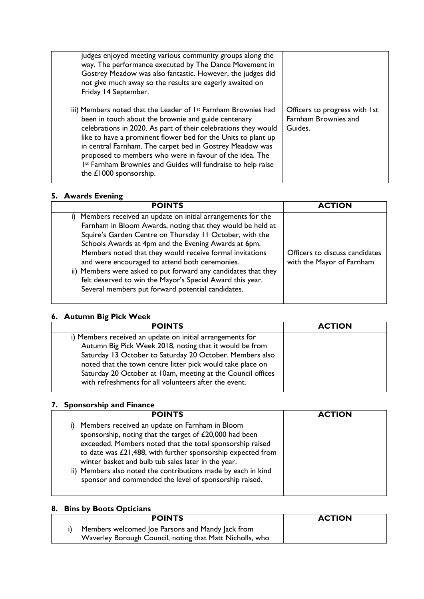| judges enjoyed meeting various community groups along the<br>way. The performance executed by The Dance Movement in<br>Gostrey Meadow was also fantastic. However, the judges did<br>not give much away so the results are eagerly awaited on<br>Friday 14 September.                                                                                                                                                                                                                   |                                                                  |
|-----------------------------------------------------------------------------------------------------------------------------------------------------------------------------------------------------------------------------------------------------------------------------------------------------------------------------------------------------------------------------------------------------------------------------------------------------------------------------------------|------------------------------------------------------------------|
| iii) Members noted that the Leader of 1 <sup>st</sup> Farnham Brownies had<br>been in touch about the brownie and guide centenary<br>celebrations in 2020. As part of their celebrations they would<br>like to have a prominent flower bed for the Units to plant up<br>in central Farnham. The carpet bed in Gostrey Meadow was<br>proposed to members who were in favour of the idea. The<br>Ist Farnham Brownies and Guides will fundraise to help raise<br>the $£1000$ sponsorship. | Officers to progress with 1st<br>Farnham Brownies and<br>Guides. |

### **5. Awards Evening**

| <b>POINTS</b>                                                                                                                                                                                                                                                                                                                                                                                                                                                                                                                                    | <b>ACTION</b>                                               |
|--------------------------------------------------------------------------------------------------------------------------------------------------------------------------------------------------------------------------------------------------------------------------------------------------------------------------------------------------------------------------------------------------------------------------------------------------------------------------------------------------------------------------------------------------|-------------------------------------------------------------|
| i) Members received an update on initial arrangements for the<br>Farnham in Bloom Awards, noting that they would be held at<br>Squire's Garden Centre on Thursday 11 October, with the<br>Schools Awards at 4pm and the Evening Awards at 6pm.<br>Members noted that they would receive formal invitations<br>and were encouraged to attend both ceremonies.<br>ii) Members were asked to put forward any candidates that they<br>felt deserved to win the Mayor's Special Award this year.<br>Several members put forward potential candidates. | Officers to discuss candidates<br>with the Mayor of Farnham |

# **6. Autumn Big Pick Week**

| <b>ACTION</b> |
|---------------|
|               |
|               |
|               |
|               |
|               |
|               |
|               |

#### **7. Sponsorship and Finance**

| <b>POINTS</b>                                                                                                                                                                                                                                                                                                                                                                                                           | <b>ACTION</b> |
|-------------------------------------------------------------------------------------------------------------------------------------------------------------------------------------------------------------------------------------------------------------------------------------------------------------------------------------------------------------------------------------------------------------------------|---------------|
| Members received an update on Farnham in Bloom<br>sponsorship, noting that the target of £20,000 had been<br>exceeded. Members noted that the total sponsorship raised<br>to date was £21,488, with further sponsorship expected from<br>winter basket and bulb tub sales later in the year.<br>ii) Members also noted the contributions made by each in kind<br>sponsor and commended the level of sponsorship raised. |               |

# **8. Bins by Boots Opticians**

| <b>POINTS</b>                                            | <b>ACTION</b> |
|----------------------------------------------------------|---------------|
| Members welcomed Joe Parsons and Mandy Jack from         |               |
| Waverley Borough Council, noting that Matt Nicholls, who |               |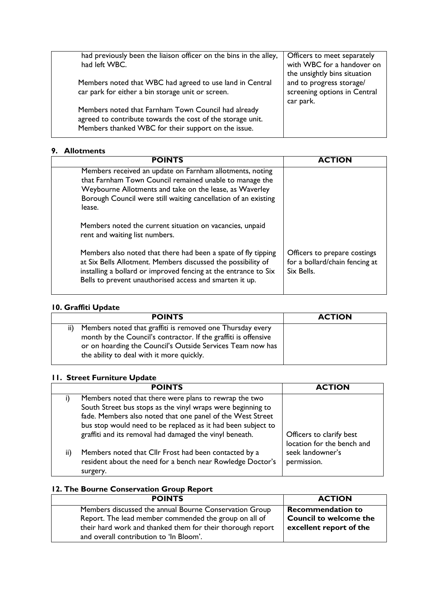| had previously been the liaison officer on the bins in the alley, | Officers to meet separately  |
|-------------------------------------------------------------------|------------------------------|
| had left WBC.                                                     | with WBC for a handover on   |
|                                                                   | the unsightly bins situation |
| Members noted that WBC had agreed to use land in Central          | and to progress storage/     |
| car park for either a bin storage unit or screen.                 | screening options in Central |
|                                                                   | car park.                    |
| Members noted that Farnham Town Council had already               |                              |
| agreed to contribute towards the cost of the storage unit.        |                              |
| Members thanked WBC for their support on the issue.               |                              |
|                                                                   |                              |

#### **9. Allotments**

| <b>POINTS</b>                                                                                                                                                                                                                                               | <b>ACTION</b>                                                                |
|-------------------------------------------------------------------------------------------------------------------------------------------------------------------------------------------------------------------------------------------------------------|------------------------------------------------------------------------------|
| Members received an update on Farnham allotments, noting<br>that Farnham Town Council remained unable to manage the<br>Weybourne Allotments and take on the lease, as Waverley<br>Borough Council were still waiting cancellation of an existing<br>lease.  |                                                                              |
| Members noted the current situation on vacancies, unpaid<br>rent and waiting list numbers.                                                                                                                                                                  |                                                                              |
| Members also noted that there had been a spate of fly tipping<br>at Six Bells Allotment. Members discussed the possibility of<br>installing a bollard or improved fencing at the entrance to Six<br>Bells to prevent unauthorised access and smarten it up. | Officers to prepare costings<br>for a bollard/chain fencing at<br>Six Bells. |

#### **10. Graffiti Update**

| <b>POINTS</b>                                                                                                                                                                                                                           | <b>ACTION</b> |
|-----------------------------------------------------------------------------------------------------------------------------------------------------------------------------------------------------------------------------------------|---------------|
| Members noted that graffiti is removed one Thursday every<br>month by the Council's contractor. If the graffiti is offensive<br>or on hoarding the Council's Outside Services Team now has<br>the ability to deal with it more quickly. |               |

# **11. Street Furniture Update**

|     | <b>POINTS</b>                                                                                                                                                                                                                                      | <b>ACTION</b>                                          |
|-----|----------------------------------------------------------------------------------------------------------------------------------------------------------------------------------------------------------------------------------------------------|--------------------------------------------------------|
|     | Members noted that there were plans to rewrap the two<br>South Street bus stops as the vinyl wraps were beginning to<br>fade. Members also noted that one panel of the West Street<br>bus stop would need to be replaced as it had been subject to |                                                        |
|     | graffiti and its removal had damaged the vinyl beneath.                                                                                                                                                                                            | Officers to clarify best<br>location for the bench and |
| ii) | Members noted that Cllr Frost had been contacted by a<br>resident about the need for a bench near Rowledge Doctor's<br>surgery.                                                                                                                    | seek landowner's<br>permission.                        |

# **12. The Bourne Conservation Group Report**

| <b>POINTS</b>                                              | <b>ACTION</b>                 |
|------------------------------------------------------------|-------------------------------|
| Members discussed the annual Bourne Conservation Group     | <b>Recommendation to</b>      |
| Report. The lead member commended the group on all of      | <b>Council to welcome the</b> |
| their hard work and thanked them for their thorough report | excellent report of the       |
| and overall contribution to 'In Bloom'.                    |                               |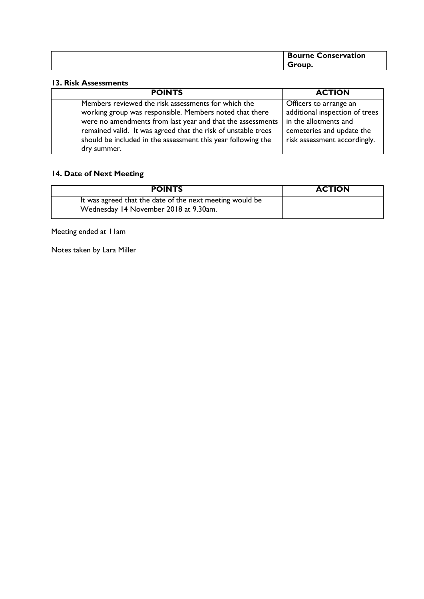| <b>Bourne</b><br><b>Conservation</b> |
|--------------------------------------|
| Group.                               |

#### **13. Risk Assessments**

| <b>POINTS</b>                                                                                                                                                                                                                                                                                                                | <b>ACTION</b>                                                                                                                                  |
|------------------------------------------------------------------------------------------------------------------------------------------------------------------------------------------------------------------------------------------------------------------------------------------------------------------------------|------------------------------------------------------------------------------------------------------------------------------------------------|
| Members reviewed the risk assessments for which the<br>working group was responsible. Members noted that there<br>were no amendments from last year and that the assessments<br>remained valid. It was agreed that the risk of unstable trees<br>should be included in the assessment this year following the<br>dry summer. | Officers to arrange an<br>additional inspection of trees<br>in the allotments and<br>cemeteries and update the<br>risk assessment accordingly. |

# **14. Date of Next Meeting**

| <b>POINTS</b>                                                                                     | <b>ACTION</b> |
|---------------------------------------------------------------------------------------------------|---------------|
| It was agreed that the date of the next meeting would be<br>Wednesday 14 November 2018 at 9.30am. |               |

Meeting ended at 11am

Notes taken by Lara Miller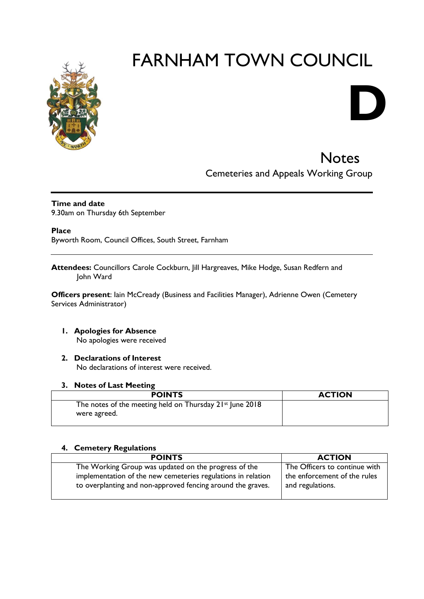

# FARNHAM TOWN COUNCIL

# **Notes** Cemeteries and Appeals Working Group

**D**

# **Time and date**

9.30am on Thursday 6th September

**Place**

Byworth Room, Council Offices, South Street, Farnham

**Attendees:** Councillors Carole Cockburn, Jill Hargreaves, Mike Hodge, Susan Redfern and John Ward

**Officers present**: Iain McCready (Business and Facilities Manager), Adrienne Owen (Cemetery Services Administrator)

- **1. Apologies for Absence**  No apologies were received
- **2. Declarations of Interest**

No declarations of interest were received.

#### **3. Notes of Last Meeting**

| <b>POINTS</b>                                                                        | <b>ACTION</b> |
|--------------------------------------------------------------------------------------|---------------|
| The notes of the meeting held on Thursday 21 <sup>st</sup> June 2018<br>were agreed. |               |

#### **4. Cemetery Regulations**

| <b>POINTS</b>                                                                                                               | <b>ACTION</b>                                    |
|-----------------------------------------------------------------------------------------------------------------------------|--------------------------------------------------|
| The Working Group was updated on the progress of the                                                                        | The Officers to continue with                    |
| implementation of the new cemeteries regulations in relation<br>to overplanting and non-approved fencing around the graves. | the enforcement of the rules<br>and regulations. |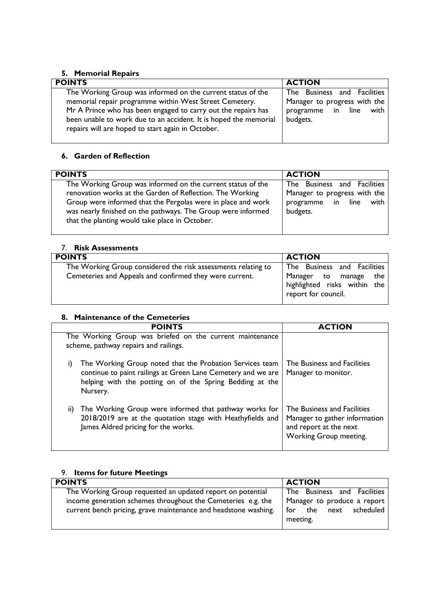# **5. Memorial Repairs**

| <b>POINTS</b>                                                                                                         | <b>ACTION</b>                |
|-----------------------------------------------------------------------------------------------------------------------|------------------------------|
| The Working Group was informed on the current status of the                                                           | The Business and Facilities  |
| memorial repair programme within West Street Cemetery.                                                                | Manager to progress with the |
| Mr A Prince who has been engaged to carry out the repairs has                                                         | programme in line with       |
| been unable to work due to an accident. It is hoped the memorial<br>repairs will are hoped to start again in October. | budgets.                     |
|                                                                                                                       |                              |

# **6. Garden of Reflection**

| <b>POINTS</b>                                                | <b>ACTION</b>                |
|--------------------------------------------------------------|------------------------------|
| The Working Group was informed on the current status of the  | The Business and Facilities  |
| renovation works at the Garden of Reflection. The Working    | Manager to progress with the |
| Group were informed that the Pergolas were in place and work | programme in line            |
| was nearly finished on the pathways. The Group were informed | with                         |
| that the planting would take place in October.               | budgets.                     |

| <b>Risk Assessments</b><br>7 <sup>1</sup>                                                                                |                                                                                                             |
|--------------------------------------------------------------------------------------------------------------------------|-------------------------------------------------------------------------------------------------------------|
| <b>POINTS</b>                                                                                                            | <b>ACTION</b>                                                                                               |
| The Working Group considered the risk assessments relating to<br>Cemeteries and Appeals and confirmed they were current. | The Business and Facilities<br>Manager to manage the<br>highlighted risks within the<br>report for council. |

### **8. Maintenance of the Cemeteries**

|     | <b>POINTS</b>                                                                                                                                                                                    | <b>ACTION</b>                                                                                                    |
|-----|--------------------------------------------------------------------------------------------------------------------------------------------------------------------------------------------------|------------------------------------------------------------------------------------------------------------------|
|     | The Working Group was briefed on the current maintenance<br>scheme, pathway repairs and railings.                                                                                                |                                                                                                                  |
| I)  | The Working Group noted that the Probation Services team<br>continue to paint railings at Green Lane Cemetery and we are<br>helping with the potting on of the Spring Bedding at the<br>Nursery. | The Business and Facilities<br>Manager to monitor.                                                               |
| ii) | The Working Group were informed that pathway works for<br>2018/2019 are at the quotation stage with Heathyfields and<br>James Aldred pricing for the works.                                      | The Business and Facilities<br>Manager to gather information<br>and report at the next<br>Working Group meeting. |

# 9. **Items for future Meetings**

| <b>POINTS</b>                                                   | <b>ACTION</b>               |
|-----------------------------------------------------------------|-----------------------------|
| The Working Group requested an updated report on potential      | The Business and Facilities |
| income generation schemes throughout the Cemeteries e.g. the    | Manager to produce a report |
| current bench pricing, grave maintenance and headstone washing. | for the next scheduled      |
|                                                                 | meeting.                    |
|                                                                 |                             |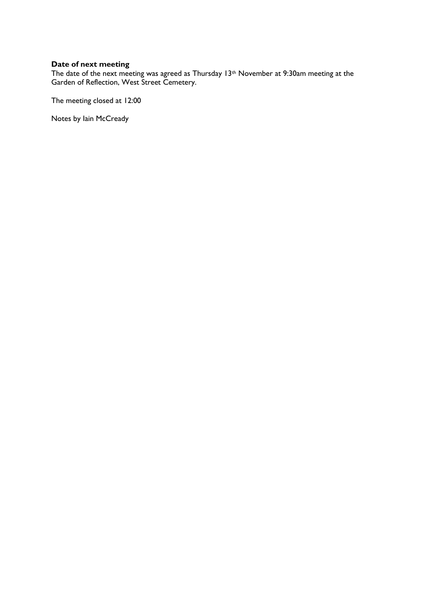#### **Date of next meeting**

The date of the next meeting was agreed as Thursday  $13<sup>th</sup>$  November at 9:30am meeting at the Garden of Reflection, West Street Cemetery.

The meeting closed at 12:00

Notes by Iain McCready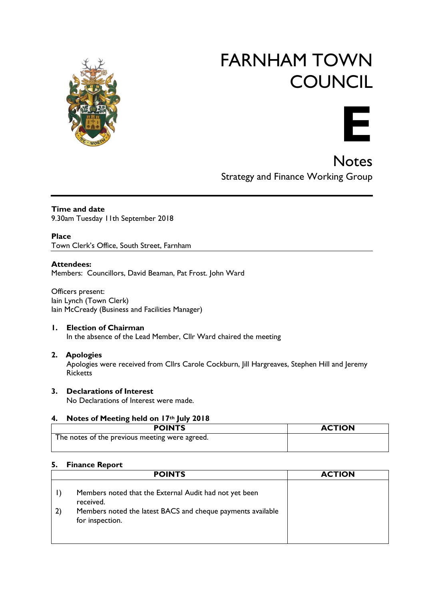

# FARNHAM TOWN **COUNCIL**



**Notes** Strategy and Finance Working Group

**Time and date** 9.30am Tuesday 11th September 2018

**Place** Town Clerk's Office, South Street, Farnham

#### **Attendees:**

Members: Councillors, David Beaman, Pat Frost. John Ward

Officers present: Iain Lynch (Town Clerk) Iain McCready (Business and Facilities Manager)

#### **1. Election of Chairman**

In the absence of the Lead Member, Cllr Ward chaired the meeting

#### **2. Apologies**

Apologies were received from Cllrs Carole Cockburn, Jill Hargreaves, Stephen Hill and Jeremy **Ricketts** 

#### **3. Declarations of Interest**

No Declarations of Interest were made.

#### **4. Notes of Meeting held on 17th July 2018**

| <b>POINTS</b>                                  | <b>ACTION</b> |
|------------------------------------------------|---------------|
| The notes of the previous meeting were agreed. |               |

#### **5. Finance Report**

| <b>POINTS</b>                                                                                                                                         | <b>ACTION</b> |
|-------------------------------------------------------------------------------------------------------------------------------------------------------|---------------|
| Members noted that the External Audit had not yet been<br>received.<br>Members noted the latest BACS and cheque payments available<br>for inspection. |               |
|                                                                                                                                                       |               |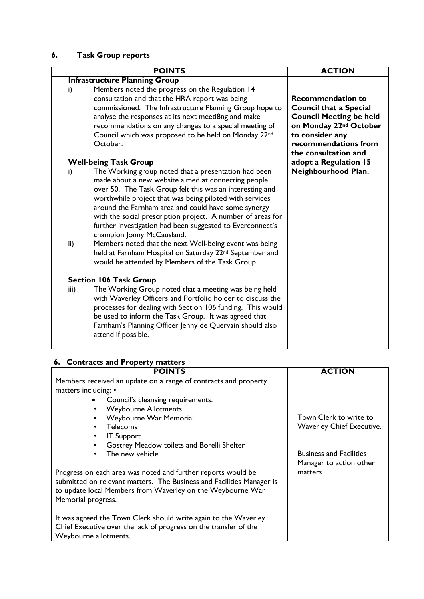# **6. Task Group reports**

|                     | <b>POINTS</b>                                                                                                                                                                                                                                                                                                                                                                                                                                                                                                                                                                                                                           | <b>ACTION</b>                                                                                                                                                                                        |
|---------------------|-----------------------------------------------------------------------------------------------------------------------------------------------------------------------------------------------------------------------------------------------------------------------------------------------------------------------------------------------------------------------------------------------------------------------------------------------------------------------------------------------------------------------------------------------------------------------------------------------------------------------------------------|------------------------------------------------------------------------------------------------------------------------------------------------------------------------------------------------------|
|                     | <b>Infrastructure Planning Group</b>                                                                                                                                                                                                                                                                                                                                                                                                                                                                                                                                                                                                    |                                                                                                                                                                                                      |
| i)                  | Members noted the progress on the Regulation 14                                                                                                                                                                                                                                                                                                                                                                                                                                                                                                                                                                                         |                                                                                                                                                                                                      |
|                     | consultation and that the HRA report was being<br>commissioned. The Infrastructure Planning Group hope to<br>analyse the responses at its next meeti8ng and make<br>recommendations on any changes to a special meeting of<br>Council which was proposed to be held on Monday 22 <sup>nd</sup><br>October.                                                                                                                                                                                                                                                                                                                              | <b>Recommendation to</b><br><b>Council that a Special</b><br><b>Council Meeting be held</b><br>on Monday 22 <sup>nd</sup> October<br>to consider any<br>recommendations from<br>the consultation and |
|                     | <b>Well-being Task Group</b>                                                                                                                                                                                                                                                                                                                                                                                                                                                                                                                                                                                                            | adopt a Regulation 15                                                                                                                                                                                |
| i)<br>$\mathsf{ii}$ | The Working group noted that a presentation had been<br>made about a new website aimed at connecting people<br>over 50. The Task Group felt this was an interesting and<br>worthwhile project that was being piloted with services<br>around the Farnham area and could have some synergy<br>with the social prescription project. A number of areas for<br>further investigation had been suggested to Everconnect's<br>champion Jonny McCausland.<br>Members noted that the next Well-being event was being<br>held at Farnham Hospital on Saturday 22 <sup>nd</sup> September and<br>would be attended by Members of the Task Group. | Neighbourhood Plan.                                                                                                                                                                                  |
|                     | <b>Section 106 Task Group</b>                                                                                                                                                                                                                                                                                                                                                                                                                                                                                                                                                                                                           |                                                                                                                                                                                                      |
| iii)                | The Working Group noted that a meeting was being held<br>with Waverley Officers and Portfolio holder to discuss the<br>processes for dealing with Section 106 funding. This would<br>be used to inform the Task Group. It was agreed that<br>Farnham's Planning Officer Jenny de Quervain should also<br>attend if possible.                                                                                                                                                                                                                                                                                                            |                                                                                                                                                                                                      |

# **6. Contracts and Property matters**

| <b>POINTS</b>                                                         | <b>ACTION</b>                    |
|-----------------------------------------------------------------------|----------------------------------|
| Members received an update on a range of contracts and property       |                                  |
| matters including: •                                                  |                                  |
| Council's cleansing requirements.                                     |                                  |
| <b>Weybourne Allotments</b><br>٠                                      |                                  |
| Weybourne War Memorial<br>$\bullet$                                   | Town Clerk to write to           |
| <b>Telecoms</b><br>$\bullet$                                          | <b>Waverley Chief Executive.</b> |
| <b>IT Support</b><br>$\bullet$                                        |                                  |
| Gostrey Meadow toilets and Borelli Shelter<br>$\bullet$               |                                  |
| The new vehicle                                                       | <b>Business and Facilities</b>   |
|                                                                       | Manager to action other          |
| Progress on each area was noted and further reports would be          | matters                          |
| submitted on relevant matters. The Business and Facilities Manager is |                                  |
| to update local Members from Waverley on the Weybourne War            |                                  |
| Memorial progress.                                                    |                                  |
|                                                                       |                                  |
| It was agreed the Town Clerk should write again to the Waverley       |                                  |
| Chief Executive over the lack of progress on the transfer of the      |                                  |
| Weybourne allotments.                                                 |                                  |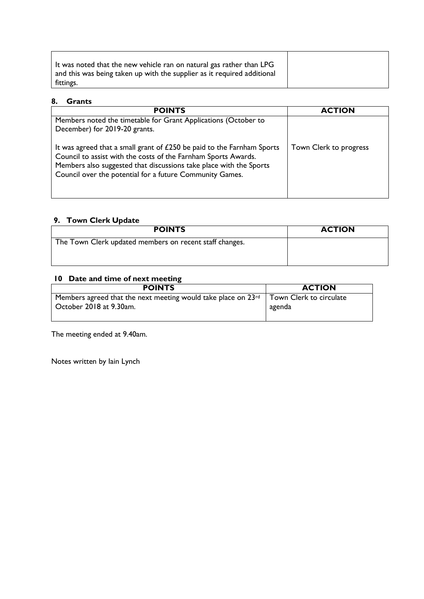| It was noted that the new vehicle ran on natural gas rather than LPG    |
|-------------------------------------------------------------------------|
| and this was being taken up with the supplier as it required additional |
| fittings.                                                               |

#### **8. Grants**

| <b>POINTS</b>                                                                                                                                                                                                                                                              | <b>ACTION</b>          |
|----------------------------------------------------------------------------------------------------------------------------------------------------------------------------------------------------------------------------------------------------------------------------|------------------------|
| Members noted the timetable for Grant Applications (October to<br>December) for 2019-20 grants.                                                                                                                                                                            |                        |
| It was agreed that a small grant of £250 be paid to the Farnham Sports<br>Council to assist with the costs of the Farnham Sports Awards.<br>Members also suggested that discussions take place with the Sports<br>Council over the potential for a future Community Games. | Town Clerk to progress |

### **9. Town Clerk Update**

| <b>POINTS</b>                                           | <b>ACTION</b> |
|---------------------------------------------------------|---------------|
| The Town Clerk updated members on recent staff changes. |               |
|                                                         |               |

# **10 Date and time of next meeting**

| <b>POINTS</b>                                                 | <b>ACTION</b>           |
|---------------------------------------------------------------|-------------------------|
| Members agreed that the next meeting would take place on 23rd | Town Clerk to circulate |
| October 2018 at 9.30am.                                       | agenda                  |
|                                                               |                         |

The meeting ended at 9.40am.

Notes written by Iain Lynch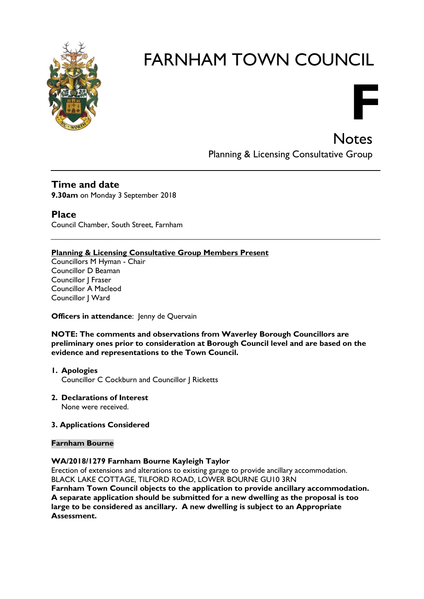

# FARNHAM TOWN COUNCIL

**Notes** Planning & Licensing Consultative Group

**F**

**Time and date 9.30am** on Monday 3 September 2018

**Place** Council Chamber, South Street, Farnham

#### **Planning & Licensing Consultative Group Members Present**

Councillors M Hyman - Chair Councillor D Beaman Councillor J Fraser Councillor A Macleod Councillor | Ward

#### **Officers in attendance:** Jenny de Quervain

**NOTE: The comments and observations from Waverley Borough Councillors are preliminary ones prior to consideration at Borough Council level and are based on the evidence and representations to the Town Council.**

- **1. Apologies** Councillor C Cockburn and Councillor J Ricketts
- **2. Declarations of Interest** None were received.

#### **3. Applications Considered**

#### **Farnham Bourne**

#### **WA/2018/1279 Farnham Bourne Kayleigh Taylor**

Erection of extensions and alterations to existing garage to provide ancillary accommodation. BLACK LAKE COTTAGE, TILFORD ROAD, LOWER BOURNE GU10 3RN

**Farnham Town Council objects to the application to provide ancillary accommodation. A separate application should be submitted for a new dwelling as the proposal is too large to be considered as ancillary. A new dwelling is subject to an Appropriate Assessment.**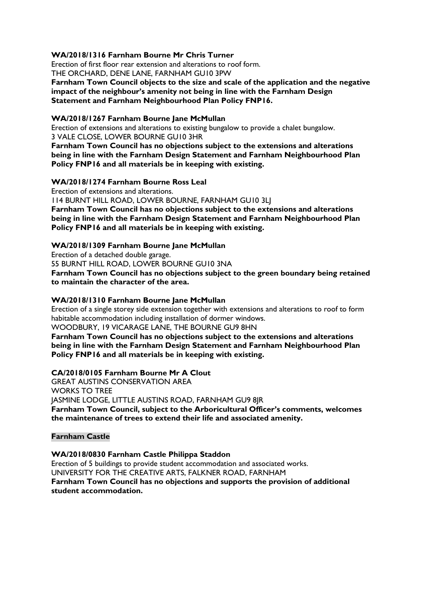#### **WA/2018/1316 Farnham Bourne Mr Chris Turner**

Erection of first floor rear extension and alterations to roof form. THE ORCHARD, DENE LANE, FARNHAM GU10 3PW

**Farnham Town Council objects to the size and scale of the application and the negative impact of the neighbour's amenity not being in line with the Farnham Design Statement and Farnham Neighbourhood Plan Policy FNP16.**

#### **WA/2018/1267 Farnham Bourne Jane McMullan**

Erection of extensions and alterations to existing bungalow to provide a chalet bungalow. 3 VALE CLOSE, LOWER BOURNE GU10 3HR

**Farnham Town Council has no objections subject to the extensions and alterations being in line with the Farnham Design Statement and Farnham Neighbourhood Plan Policy FNP16 and all materials be in keeping with existing.**

#### **WA/2018/1274 Farnham Bourne Ross Leal**

Erection of extensions and alterations.

114 BURNT HILL ROAD, LOWER BOURNE, FARNHAM GU10 3LJ **Farnham Town Council has no objections subject to the extensions and alterations being in line with the Farnham Design Statement and Farnham Neighbourhood Plan Policy FNP16 and all materials be in keeping with existing.**

#### **WA/2018/1309 Farnham Bourne Jane McMullan**

Erection of a detached double garage. 55 BURNT HILL ROAD, LOWER BOURNE GU10 3NA **Farnham Town Council has no objections subject to the green boundary being retained to maintain the character of the area.**

#### **WA/2018/1310 Farnham Bourne Jane McMullan**

Erection of a single storey side extension together with extensions and alterations to roof to form habitable accommodation including installation of dormer windows. WOODBURY, 19 VICARAGE LANE, THE BOURNE GU9 8HN

**Farnham Town Council has no objections subject to the extensions and alterations being in line with the Farnham Design Statement and Farnham Neighbourhood Plan Policy FNP16 and all materials be in keeping with existing.**

#### **CA/2018/0105 Farnham Bourne Mr A Clout**

GREAT AUSTINS CONSERVATION AREA WORKS TO TREE JASMINE LODGE, LITTLE AUSTINS ROAD, FARNHAM GU9 8JR **Farnham Town Council, subject to the Arboricultural Officer's comments, welcomes the maintenance of trees to extend their life and associated amenity.**

#### **Farnham Castle**

#### **WA/2018/0830 Farnham Castle Philippa Staddon**

Erection of 5 buildings to provide student accommodation and associated works. UNIVERSITY FOR THE CREATIVE ARTS, FALKNER ROAD, FARNHAM **Farnham Town Council has no objections and supports the provision of additional student accommodation.**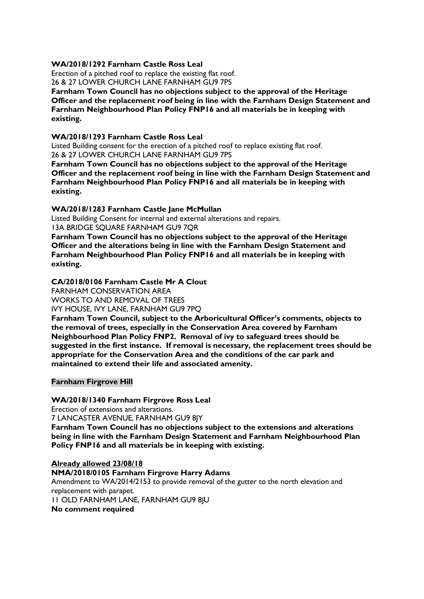#### **WA/2018/1292 Farnham Castle Ross Leal**

Erection of a pitched roof to replace the existing flat roof. 26 & 27 LOWER CHURCH LANE FARNHAM GU9 7PS

**Farnham Town Council has no objections subject to the approval of the Heritage Officer and the replacement roof being in line with the Farnham Design Statement and Farnham Neighbourhood Plan Policy FNP16 and all materials be in keeping with existing.**

#### **WA/2018/1293 Farnham Castle Ross Leal**

Listed Building consent for the erection of a pitched roof to replace existing flat roof. 26 & 27 LOWER CHURCH LANE FARNHAM GU9 7PS

**Farnham Town Council has no objections subject to the approval of the Heritage Officer and the replacement roof being in line with the Farnham Design Statement and Farnham Neighbourhood Plan Policy FNP16 and all materials be in keeping with existing.**

#### **WA/2018/1283 Farnham Castle Jane McMullan**

Listed Building Consent for internal and external alterations and repairs.

13A BRIDGE SQUARE FARNHAM GU9 7QR

**Farnham Town Council has no objections subject to the approval of the Heritage Officer and the alterations being in line with the Farnham Design Statement and Farnham Neighbourhood Plan Policy FNP16 and all materials be in keeping with existing.**

#### **CA/2018/0106 Farnham Castle Mr A Clout**

FARNHAM CONSERVATION AREA WORKS TO AND REMOVAL OF TREES IVY HOUSE, IVY LANE, FARNHAM GU9 7PQ

**Farnham Town Council, subject to the Arboricultural Officer's comments, objects to the removal of trees, especially in the Conservation Area covered by Farnham Neighbourhood Plan Policy FNP2. Removal of ivy to safeguard trees should be suggested in the first instance. If removal is necessary, the replacement trees should be appropriate for the Conservation Area and the conditions of the car park and maintained to extend their life and associated amenity.**

#### **Farnham Firgrove Hill**

#### **WA/2018/1340 Farnham Firgrove Ross Leal**

Erection of extensions and alterations.

7 LANCASTER AVENUE, FARNHAM GU9 8JY

**Farnham Town Council has no objections subject to the extensions and alterations being in line with the Farnham Design Statement and Farnham Neighbourhood Plan Policy FNP16 and all materials be in keeping with existing.**

**Already allowed 23/08/18 NMA/2018/0105 Farnham Firgrove Harry Adams** Amendment to WA/2014/2153 to provide removal of the gutter to the north elevation and replacement with parapet. 11 OLD FARNHAM LANE, FARNHAM GU9 8JU **No comment required**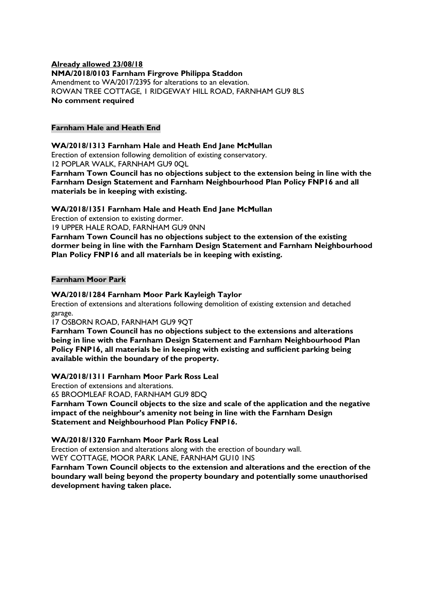#### **Already allowed 23/08/18 NMA/2018/0103 Farnham Firgrove Philippa Staddon** Amendment to WA/2017/2395 for alterations to an elevation. ROWAN TREE COTTAGE, 1 RIDGEWAY HILL ROAD, FARNHAM GU9 8LS **No comment required**

#### **Farnham Hale and Heath End**

#### **WA/2018/1313 Farnham Hale and Heath End Jane McMullan**

Erection of extension following demolition of existing conservatory. 12 POPLAR WALK, FARNHAM GU9 0QL

**Farnham Town Council has no objections subject to the extension being in line with the Farnham Design Statement and Farnham Neighbourhood Plan Policy FNP16 and all materials be in keeping with existing.**

#### **WA/2018/1351 Farnham Hale and Heath End Jane McMullan**

Erection of extension to existing dormer.

19 UPPER HALE ROAD, FARNHAM GU9 0NN

**Farnham Town Council has no objections subject to the extension of the existing dormer being in line with the Farnham Design Statement and Farnham Neighbourhood Plan Policy FNP16 and all materials be in keeping with existing.**

#### **Farnham Moor Park**

#### **WA/2018/1284 Farnham Moor Park Kayleigh Taylor**

Erection of extensions and alterations following demolition of existing extension and detached garage.

#### 17 OSBORN ROAD, FARNHAM GU9 9QT

**Farnham Town Council has no objections subject to the extensions and alterations being in line with the Farnham Design Statement and Farnham Neighbourhood Plan Policy FNP16, all materials be in keeping with existing and sufficient parking being available within the boundary of the property.**

#### **WA/2018/1311 Farnham Moor Park Ross Leal**

Erection of extensions and alterations.

65 BROOMLEAF ROAD, FARNHAM GU9 8DQ

**Farnham Town Council objects to the size and scale of the application and the negative impact of the neighbour's amenity not being in line with the Farnham Design Statement and Neighbourhood Plan Policy FNP16.**

#### **WA/2018/1320 Farnham Moor Park Ross Leal**

Erection of extension and alterations along with the erection of boundary wall.

WEY COTTAGE, MOOR PARK LANE, FARNHAM GU10 1NS

**Farnham Town Council objects to the extension and alterations and the erection of the boundary wall being beyond the property boundary and potentially some unauthorised development having taken place.**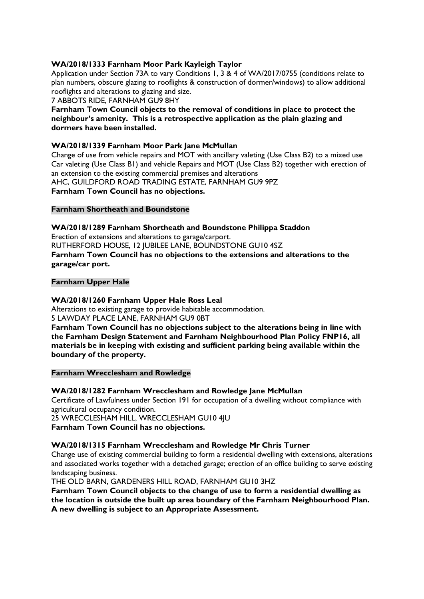#### **WA/2018/1333 Farnham Moor Park Kayleigh Taylor**

Application under Section 73A to vary Conditions 1, 3 & 4 of WA/2017/0755 (conditions relate to plan numbers, obscure glazing to rooflights & construction of dormer/windows) to allow additional rooflights and alterations to glazing and size.

7 ABBOTS RIDE, FARNHAM GU9 8HY

#### **Farnham Town Council objects to the removal of conditions in place to protect the neighbour's amenity. This is a retrospective application as the plain glazing and dormers have been installed.**

#### **WA/2018/1339 Farnham Moor Park Jane McMullan**

Change of use from vehicle repairs and MOT with ancillary valeting (Use Class B2) to a mixed use Car valeting (Use Class B1) and vehicle Repairs and MOT (Use Class B2) together with erection of an extension to the existing commercial premises and alterations AHC, GUILDFORD ROAD TRADING ESTATE, FARNHAM GU9 9PZ **Farnham Town Council has no objections.**

#### **Farnham Shortheath and Boundstone**

**WA/2018/1289 Farnham Shortheath and Boundstone Philippa Staddon** Erection of extensions and alterations to garage/carport. RUTHERFORD HOUSE, 12 JUBILEE LANE, BOUNDSTONE GU10 4SZ **Farnham Town Council has no objections to the extensions and alterations to the garage/car port.**

#### **Farnham Upper Hale**

#### **WA/2018/1260 Farnham Upper Hale Ross Leal**

Alterations to existing garage to provide habitable accommodation. 5 LAWDAY PLACE LANE, FARNHAM GU9 0BT

**Farnham Town Council has no objections subject to the alterations being in line with the Farnham Design Statement and Farnham Neighbourhood Plan Policy FNP16, all materials be in keeping with existing and sufficient parking being available within the boundary of the property.**

**Farnham Wrecclesham and Rowledge**

#### **WA/2018/1282 Farnham Wrecclesham and Rowledge Jane McMullan**

Certificate of Lawfulness under Section 191 for occupation of a dwelling without compliance with agricultural occupancy condition.

25 WRECCLESHAM HILL, WRECCLESHAM GU10 4JU

**Farnham Town Council has no objections.**

#### **WA/2018/1315 Farnham Wrecclesham and Rowledge Mr Chris Turner**

Change use of existing commercial building to form a residential dwelling with extensions, alterations and associated works together with a detached garage; erection of an office building to serve existing landscaping business.

THE OLD BARN, GARDENERS HILL ROAD, FARNHAM GU10 3HZ

**Farnham Town Council objects to the change of use to form a residential dwelling as the location is outside the built up area boundary of the Farnham Neighbourhood Plan. A new dwelling is subject to an Appropriate Assessment.**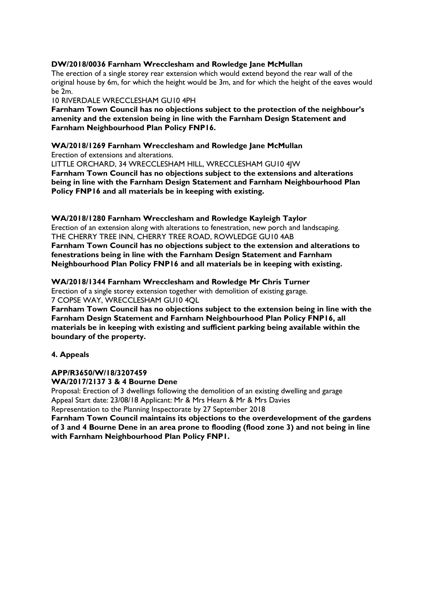#### **DW/2018/0036 Farnham Wrecclesham and Rowledge Jane McMullan**

The erection of a single storey rear extension which would extend beyond the rear wall of the original house by 6m, for which the height would be 3m, and for which the height of the eaves would  $ha$  $2m$ 

10 RIVERDALE WRECCLESHAM GU10 4PH

**Farnham Town Council has no objections subject to the protection of the neighbour's amenity and the extension being in line with the Farnham Design Statement and Farnham Neighbourhood Plan Policy FNP16.**

#### **WA/2018/1269 Farnham Wrecclesham and Rowledge Jane McMullan**

Erection of extensions and alterations.

LITTLE ORCHARD, 34 WRECCLESHAM HILL, WRECCLESHAM GU10 4JW

**Farnham Town Council has no objections subject to the extensions and alterations being in line with the Farnham Design Statement and Farnham Neighbourhood Plan Policy FNP16 and all materials be in keeping with existing.**

**WA/2018/1280 Farnham Wrecclesham and Rowledge Kayleigh Taylor**

Erection of an extension along with alterations to fenestration, new porch and landscaping. THE CHERRY TREE INN, CHERRY TREE ROAD, ROWLEDGE GU10 4AB

**Farnham Town Council has no objections subject to the extension and alterations to fenestrations being in line with the Farnham Design Statement and Farnham Neighbourhood Plan Policy FNP16 and all materials be in keeping with existing.**

#### **WA/2018/1344 Farnham Wrecclesham and Rowledge Mr Chris Turner**

Erection of a single storey extension together with demolition of existing garage. 7 COPSE WAY, WRECCLESHAM GU10 4QL

**Farnham Town Council has no objections subject to the extension being in line with the Farnham Design Statement and Farnham Neighbourhood Plan Policy FNP16, all materials be in keeping with existing and sufficient parking being available within the boundary of the property.**

#### **4. Appeals**

#### **APP/R3650/W/18/3207459 WA/2017/2137 3 & 4 Bourne Dene**

Proposal: Erection of 3 dwellings following the demolition of an existing dwelling and garage Appeal Start date: 23/08/18 Applicant: Mr & Mrs Hearn & Mr & Mrs Davies

Representation to the Planning Inspectorate by 27 September 2018

**Farnham Town Council maintains its objections to the overdevelopment of the gardens of 3 and 4 Bourne Dene in an area prone to flooding (flood zone 3) and not being in line with Farnham Neighbourhood Plan Policy FNP1.**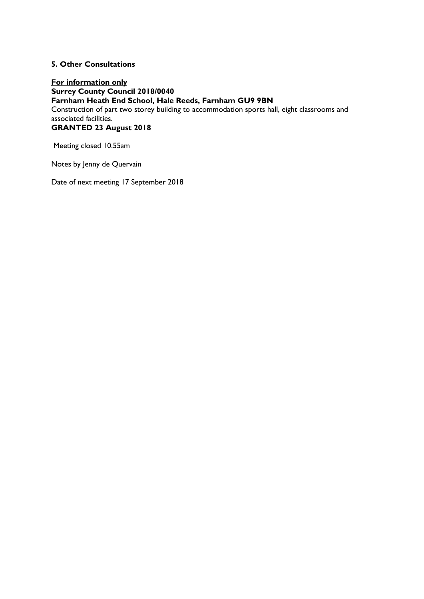#### **5. Other Consultations**

**For information only Surrey County Council 2018/0040 Farnham Heath End School, Hale Reeds, Farnham GU9 9BN** Construction of part two storey building to accommodation sports hall, eight classrooms and associated facilities. **GRANTED 23 August 2018**

Meeting closed 10.55am

Notes by Jenny de Quervain

Date of next meeting 17 September 2018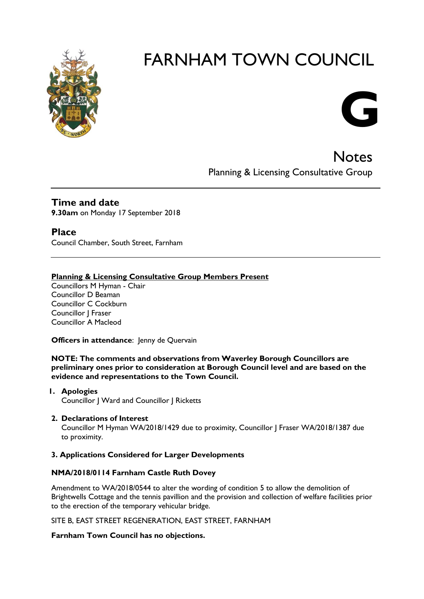

# FARNHAM TOWN COUNCIL



**Notes** Planning & Licensing Consultative Group

#### **Time and date 9.30am** on Monday 17 September 2018

**Place** Council Chamber, South Street, Farnham

#### **Planning & Licensing Consultative Group Members Present**

Councillors M Hyman - Chair Councillor D Beaman Councillor C Cockburn Councillor | Fraser Councillor A Macleod

**Officers in attendance:** Jenny de Quervain

**NOTE: The comments and observations from Waverley Borough Councillors are preliminary ones prior to consideration at Borough Council level and are based on the evidence and representations to the Town Council.**

- **1. Apologies** Councillor J Ward and Councillor J Ricketts
- **2. Declarations of Interest**

Councillor M Hyman WA/2018/1429 due to proximity, Councillor J Fraser WA/2018/1387 due to proximity.

#### **3. Applications Considered for Larger Developments**

#### **NMA/2018/0114 Farnham Castle Ruth Dovey**

Amendment to WA/2018/0544 to alter the wording of condition 5 to allow the demolition of Brightwells Cottage and the tennis pavillion and the provision and collection of welfare facilities prior to the erection of the temporary vehicular bridge.

SITE B, EAST STREET REGENERATION, EAST STREET, FARNHAM

#### **Farnham Town Council has no objections.**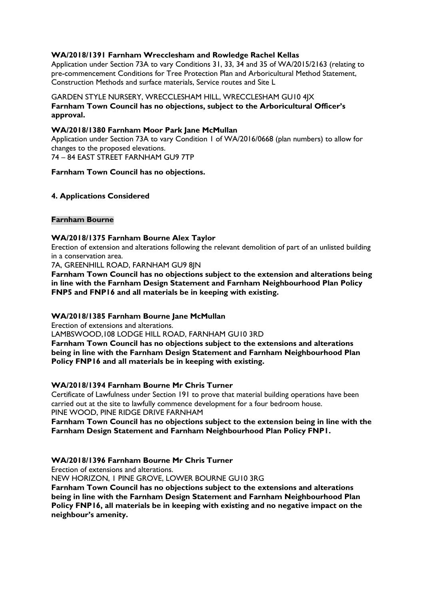#### **WA/2018/1391 Farnham Wrecclesham and Rowledge Rachel Kellas**

Application under Section 73A to vary Conditions 31, 33, 34 and 35 of WA/2015/2163 (relating to pre-commencement Conditions for Tree Protection Plan and Arboricultural Method Statement, Construction Methods and surface materials, Service routes and Site L

#### GARDEN STYLE NURSERY, WRECCLESHAM HILL, WRECCLESHAM GU10 4JX **Farnham Town Council has no objections, subject to the Arboricultural Officer's approval.**

#### **WA/2018/1380 Farnham Moor Park Jane McMullan**

Application under Section 73A to vary Condition 1 of WA/2016/0668 (plan numbers) to allow for changes to the proposed elevations. 74 – 84 EAST STREET FARNHAM GU9 7TP

#### **Farnham Town Council has no objections.**

#### **4. Applications Considered**

#### **Farnham Bourne**

#### **WA/2018/1375 Farnham Bourne Alex Taylor**

Erection of extension and alterations following the relevant demolition of part of an unlisted building in a conservation area.

7A, GREENHILL ROAD, FARNHAM GU9 8JN

**Farnham Town Council has no objections subject to the extension and alterations being in line with the Farnham Design Statement and Farnham Neighbourhood Plan Policy FNP5 and FNP16 and all materials be in keeping with existing.**

#### **WA/2018/1385 Farnham Bourne Jane McMullan**

Erection of extensions and alterations.

LAMBSWOOD,108 LODGE HILL ROAD, FARNHAM GU10 3RD

**Farnham Town Council has no objections subject to the extensions and alterations being in line with the Farnham Design Statement and Farnham Neighbourhood Plan Policy FNP16 and all materials be in keeping with existing.**

#### **WA/2018/1394 Farnham Bourne Mr Chris Turner**

Certificate of Lawfulness under Section 191 to prove that material building operations have been carried out at the site to lawfully commence development for a four bedroom house. PINE WOOD, PINE RIDGE DRIVE FARNHAM

**Farnham Town Council has no objections subject to the extension being in line with the Farnham Design Statement and Farnham Neighbourhood Plan Policy FNP1.**

#### **WA/2018/1396 Farnham Bourne Mr Chris Turner**

Erection of extensions and alterations.

NEW HORIZON, 1 PINE GROVE, LOWER BOURNE GU10 3RG

**Farnham Town Council has no objections subject to the extensions and alterations being in line with the Farnham Design Statement and Farnham Neighbourhood Plan Policy FNP16, all materials be in keeping with existing and no negative impact on the neighbour's amenity.**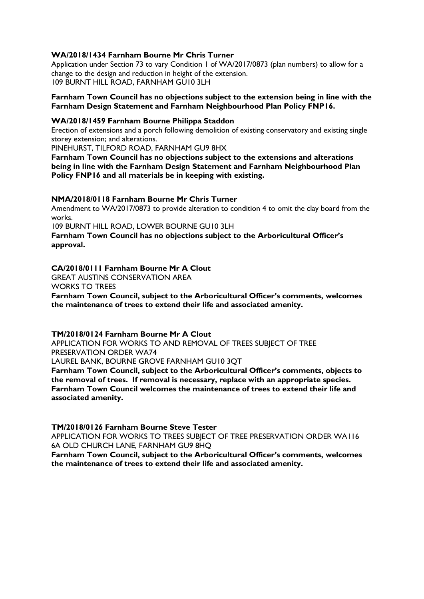#### **WA/2018/1434 Farnham Bourne Mr Chris Turner**

Application under Section 73 to vary Condition 1 of WA/2017/0873 (plan numbers) to allow for a change to the design and reduction in height of the extension. 109 BURNT HILL ROAD, FARNHAM GU10 3LH

#### **Farnham Town Council has no objections subject to the extension being in line with the Farnham Design Statement and Farnham Neighbourhood Plan Policy FNP16.**

#### **WA/2018/1459 Farnham Bourne Philippa Staddon**

Erection of extensions and a porch following demolition of existing conservatory and existing single storey extension; and alterations.

PINEHURST, TILFORD ROAD, FARNHAM GU9 8HX

**Farnham Town Council has no objections subject to the extensions and alterations being in line with the Farnham Design Statement and Farnham Neighbourhood Plan Policy FNP16 and all materials be in keeping with existing.**

#### **NMA/2018/0118 Farnham Bourne Mr Chris Turner**

Amendment to WA/2017/0873 to provide alteration to condition 4 to omit the clay board from the works.

109 BURNT HILL ROAD, LOWER BOURNE GU10 3LH

**Farnham Town Council has no objections subject to the Arboricultural Officer's approval.**

#### **CA/2018/0111 Farnham Bourne Mr A Clout**

GREAT AUSTINS CONSERVATION AREA

WORKS TO TREES

**Farnham Town Council, subject to the Arboricultural Officer's comments, welcomes the maintenance of trees to extend their life and associated amenity.**

#### **TM/2018/0124 Farnham Bourne Mr A Clout**

APPLICATION FOR WORKS TO AND REMOVAL OF TREES SUBJECT OF TREE PRESERVATION ORDER WA74

LAUREL BANK, BOURNE GROVE FARNHAM GU10 3QT

**Farnham Town Council, subject to the Arboricultural Officer's comments, objects to the removal of trees. If removal is necessary, replace with an appropriate species. Farnham Town Council welcomes the maintenance of trees to extend their life and associated amenity.**

**TM/2018/0126 Farnham Bourne Steve Tester**

APPLICATION FOR WORKS TO TREES SUBJECT OF TREE PRESERVATION ORDER WA116 6A OLD CHURCH LANE, FARNHAM GU9 8HQ

**Farnham Town Council, subject to the Arboricultural Officer's comments, welcomes the maintenance of trees to extend their life and associated amenity.**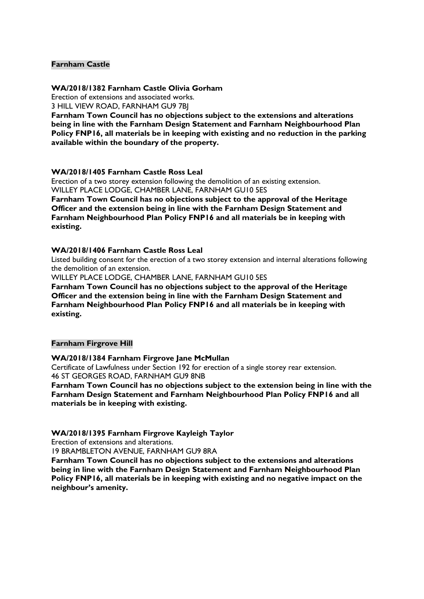#### **Farnham Castle**

#### **WA/2018/1382 Farnham Castle Olivia Gorham**

Erection of extensions and associated works.

3 HILL VIEW ROAD, FARNHAM GU9 7BJ

**Farnham Town Council has no objections subject to the extensions and alterations being in line with the Farnham Design Statement and Farnham Neighbourhood Plan Policy FNP16, all materials be in keeping with existing and no reduction in the parking available within the boundary of the property.**

#### **WA/2018/1405 Farnham Castle Ross Leal**

Erection of a two storey extension following the demolition of an existing extension. WILLEY PLACE LODGE, CHAMBER LANE, FARNHAM GU10 5ES **Farnham Town Council has no objections subject to the approval of the Heritage Officer and the extension being in line with the Farnham Design Statement and Farnham Neighbourhood Plan Policy FNP16 and all materials be in keeping with existing.**

#### **WA/2018/1406 Farnham Castle Ross Leal**

Listed building consent for the erection of a two storey extension and internal alterations following the demolition of an extension.

WILLEY PLACE LODGE, CHAMBER LANE, FARNHAM GU10 5ES

**Farnham Town Council has no objections subject to the approval of the Heritage Officer and the extension being in line with the Farnham Design Statement and Farnham Neighbourhood Plan Policy FNP16 and all materials be in keeping with existing.**

#### **Farnham Firgrove Hill**

#### **WA/2018/1384 Farnham Firgrove Jane McMullan**

Certificate of Lawfulness under Section 192 for erection of a single storey rear extension. 46 ST GEORGES ROAD, FARNHAM GU9 8NB

**Farnham Town Council has no objections subject to the extension being in line with the Farnham Design Statement and Farnham Neighbourhood Plan Policy FNP16 and all materials be in keeping with existing.**

#### **WA/2018/1395 Farnham Firgrove Kayleigh Taylor**

Erection of extensions and alterations.

19 BRAMBLETON AVENUE, FARNHAM GU9 8RA

**Farnham Town Council has no objections subject to the extensions and alterations being in line with the Farnham Design Statement and Farnham Neighbourhood Plan Policy FNP16, all materials be in keeping with existing and no negative impact on the neighbour's amenity.**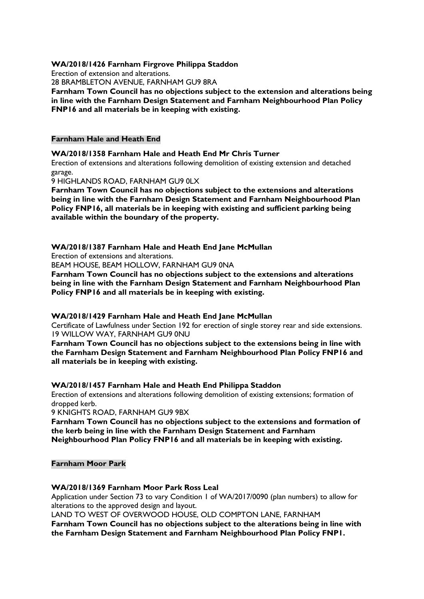#### **WA/2018/1426 Farnham Firgrove Philippa Staddon**

Erection of extension and alterations.

28 BRAMBLETON AVENUE, FARNHAM GU9 8RA

**Farnham Town Council has no objections subject to the extension and alterations being in line with the Farnham Design Statement and Farnham Neighbourhood Plan Policy FNP16 and all materials be in keeping with existing.**

#### **Farnham Hale and Heath End**

**WA/2018/1358 Farnham Hale and Heath End Mr Chris Turner**

Erection of extensions and alterations following demolition of existing extension and detached garage.

9 HIGHLANDS ROAD, FARNHAM GU9 0LX

**Farnham Town Council has no objections subject to the extensions and alterations being in line with the Farnham Design Statement and Farnham Neighbourhood Plan Policy FNP16, all materials be in keeping with existing and sufficient parking being available within the boundary of the property.**

#### **WA/2018/1387 Farnham Hale and Heath End Jane McMullan**

Erection of extensions and alterations.

BEAM HOUSE, BEAM HOLLOW, FARNHAM GU9 0NA

**Farnham Town Council has no objections subject to the extensions and alterations being in line with the Farnham Design Statement and Farnham Neighbourhood Plan Policy FNP16 and all materials be in keeping with existing.**

#### **WA/2018/1429 Farnham Hale and Heath End Jane McMullan**

Certificate of Lawfulness under Section 192 for erection of single storey rear and side extensions. 19 WILLOW WAY, FARNHAM GU9 0NU

**Farnham Town Council has no objections subject to the extensions being in line with the Farnham Design Statement and Farnham Neighbourhood Plan Policy FNP16 and all materials be in keeping with existing.**

#### **WA/2018/1457 Farnham Hale and Heath End Philippa Staddon**

Erection of extensions and alterations following demolition of existing extensions; formation of dropped kerb.

9 KNIGHTS ROAD, FARNHAM GU9 9BX

**Farnham Town Council has no objections subject to the extensions and formation of the kerb being in line with the Farnham Design Statement and Farnham Neighbourhood Plan Policy FNP16 and all materials be in keeping with existing.**

#### **Farnham Moor Park**

#### **WA/2018/1369 Farnham Moor Park Ross Leal**

Application under Section 73 to vary Condition 1 of WA/2017/0090 (plan numbers) to allow for alterations to the approved design and layout.

LAND TO WEST OF OVERWOOD HOUSE, OLD COMPTON LANE, FARNHAM **Farnham Town Council has no objections subject to the alterations being in line with the Farnham Design Statement and Farnham Neighbourhood Plan Policy FNP1.**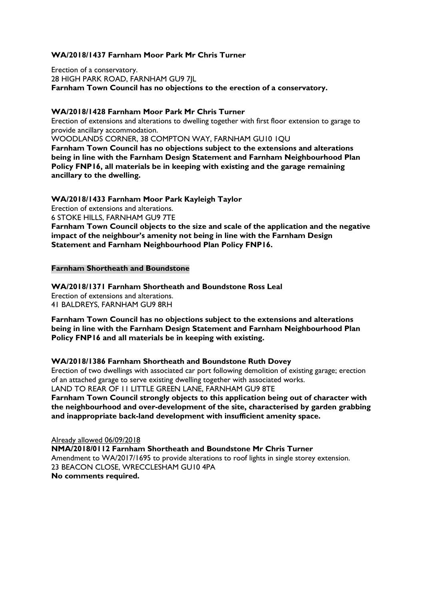#### **WA/2018/1437 Farnham Moor Park Mr Chris Turner**

Erection of a conservatory. 28 HIGH PARK ROAD, FARNHAM GU9 7JL **Farnham Town Council has no objections to the erection of a conservatory.**

#### **WA/2018/1428 Farnham Moor Park Mr Chris Turner**

Erection of extensions and alterations to dwelling together with first floor extension to garage to provide ancillary accommodation.

WOODLANDS CORNER, 38 COMPTON WAY, FARNHAM GU10 1QU **Farnham Town Council has no objections subject to the extensions and alterations being in line with the Farnham Design Statement and Farnham Neighbourhood Plan Policy FNP16, all materials be in keeping with existing and the garage remaining ancillary to the dwelling.**

**WA/2018/1433 Farnham Moor Park Kayleigh Taylor**

Erection of extensions and alterations.

6 STOKE HILLS, FARNHAM GU9 7TE

**Farnham Town Council objects to the size and scale of the application and the negative impact of the neighbour's amenity not being in line with the Farnham Design Statement and Farnham Neighbourhood Plan Policy FNP16.**

#### **Farnham Shortheath and Boundstone**

**WA/2018/1371 Farnham Shortheath and Boundstone Ross Leal** Erection of extensions and alterations. 41 BALDREYS, FARNHAM GU9 8RH

**Farnham Town Council has no objections subject to the extensions and alterations being in line with the Farnham Design Statement and Farnham Neighbourhood Plan Policy FNP16 and all materials be in keeping with existing.**

#### **WA/2018/1386 Farnham Shortheath and Boundstone Ruth Dovey**

Erection of two dwellings with associated car port following demolition of existing garage; erection of an attached garage to serve existing dwelling together with associated works. LAND TO REAR OF 11 LITTLE GREEN LANE, FARNHAM GU9 8TE **Farnham Town Council strongly objects to this application being out of character with the neighbourhood and over-development of the site, characterised by garden grabbing and inappropriate back-land development with insufficient amenity space.**

Already allowed 06/09/2018 **NMA/2018/0112 Farnham Shortheath and Boundstone Mr Chris Turner** Amendment to WA/2017/1695 to provide alterations to roof lights in single storey extension. 23 BEACON CLOSE, WRECCLESHAM GU10 4PA **No comments required.**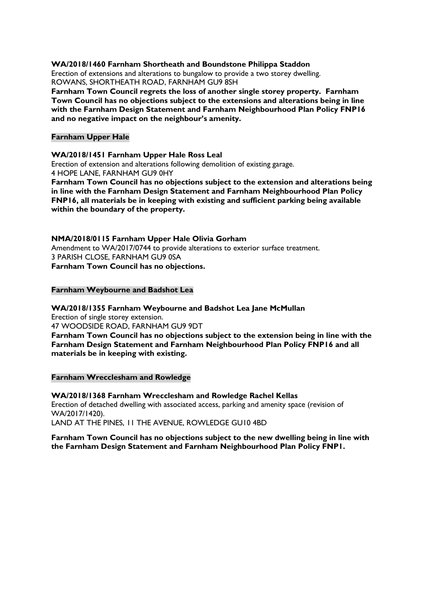#### **WA/2018/1460 Farnham Shortheath and Boundstone Philippa Staddon**

Erection of extensions and alterations to bungalow to provide a two storey dwelling. ROWANS, SHORTHEATH ROAD, FARNHAM GU9 8SH

**Farnham Town Council regrets the loss of another single storey property. Farnham Town Council has no objections subject to the extensions and alterations being in line with the Farnham Design Statement and Farnham Neighbourhood Plan Policy FNP16 and no negative impact on the neighbour's amenity.**

#### **Farnham Upper Hale**

#### **WA/2018/1451 Farnham Upper Hale Ross Leal**

Erection of extension and alterations following demolition of existing garage. 4 HOPE LANE, FARNHAM GU9 0HY

**Farnham Town Council has no objections subject to the extension and alterations being in line with the Farnham Design Statement and Farnham Neighbourhood Plan Policy FNP16, all materials be in keeping with existing and sufficient parking being available within the boundary of the property.**

#### **NMA/2018/0115 Farnham Upper Hale Olivia Gorham**

Amendment to WA/2017/0744 to provide alterations to exterior surface treatment. 3 PARISH CLOSE, FARNHAM GU9 0SA **Farnham Town Council has no objections.**

#### **Farnham Weybourne and Badshot Lea**

#### **WA/2018/1355 Farnham Weybourne and Badshot Lea Jane McMullan**

Erection of single storey extension.

47 WOODSIDE ROAD, FARNHAM GU9 9DT

**Farnham Town Council has no objections subject to the extension being in line with the Farnham Design Statement and Farnham Neighbourhood Plan Policy FNP16 and all materials be in keeping with existing.**

#### **Farnham Wrecclesham and Rowledge**

**WA/2018/1368 Farnham Wrecclesham and Rowledge Rachel Kellas** Erection of detached dwelling with associated access, parking and amenity space (revision of WA/2017/1420). LAND AT THE PINES, 11 THE AVENUE, ROWLEDGE GU10 4BD

#### **Farnham Town Council has no objections subject to the new dwelling being in line with the Farnham Design Statement and Farnham Neighbourhood Plan Policy FNP1.**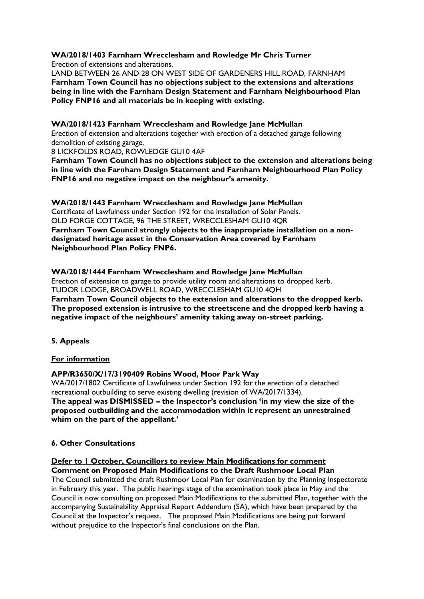#### **WA/2018/1403 Farnham Wrecclesham and Rowledge Mr Chris Turner** Erection of extensions and alterations.

LAND BETWEEN 26 AND 28 ON WEST SIDE OF GARDENERS HILL ROAD, FARNHAM **Farnham Town Council has no objections subject to the extensions and alterations being in line with the Farnham Design Statement and Farnham Neighbourhood Plan Policy FNP16 and all materials be in keeping with existing.**

#### **WA/2018/1423 Farnham Wrecclesham and Rowledge Jane McMullan**

Erection of extension and alterations together with erection of a detached garage following demolition of existing garage.

8 LICKFOLDS ROAD, ROWLEDGE GU10 4AF

**Farnham Town Council has no objections subject to the extension and alterations being in line with the Farnham Design Statement and Farnham Neighbourhood Plan Policy FNP16 and no negative impact on the neighbour's amenity.**

**WA/2018/1443 Farnham Wrecclesham and Rowledge Jane McMullan** Certificate of Lawfulness under Section 192 for the installation of Solar Panels. OLD FORGE COTTAGE, 96 THE STREET, WRECCLESHAM GU10 4QR **Farnham Town Council strongly objects to the inappropriate installation on a nondesignated heritage asset in the Conservation Area covered by Farnham Neighbourhood Plan Policy FNP6.**

**WA/2018/1444 Farnham Wrecclesham and Rowledge Jane McMullan** Erection of extension to garage to provide utility room and alterations to dropped kerb. TUDOR LODGE, BROADWELL ROAD, WRECCLESHAM GU10 4QH **Farnham Town Council objects to the extension and alterations to the dropped kerb. The proposed extension is intrusive to the streetscene and the dropped kerb having a negative impact of the neighbours' amenity taking away on-street parking.**

#### **5. Appeals**

#### **For information**

#### **APP/R3650/X/17/3190409 Robins Wood, Moor Park Way**

WA/2017/1802 Certificate of Lawfulness under Section 192 for the erection of a detached recreational outbuilding to serve existing dwelling (revision of WA/2017/1334). **The appeal was DISMISSED – the Inspector's conclusion 'in my view the size of the proposed outbuilding and the accommodation within it represent an unrestrained whim on the part of the appellant.'**

#### **6. Other Consultations**

### **Defer to 1 October, Councillors to review Main Modifications for comment**

**Comment on Proposed Main Modifications to the Draft Rushmoor Local Plan** The Council submitted the draft Rushmoor Local Plan for examination by the Planning Inspectorate in February this year. The public hearings stage of the examination took place in May and the Council is now consulting on proposed Main Modifications to the submitted Plan, together with the accompanying Sustainability Appraisal Report Addendum (SA), which have been prepared by the Council at the Inspector's request. The proposed Main Modifications are being put forward without prejudice to the Inspector's final conclusions on the Plan.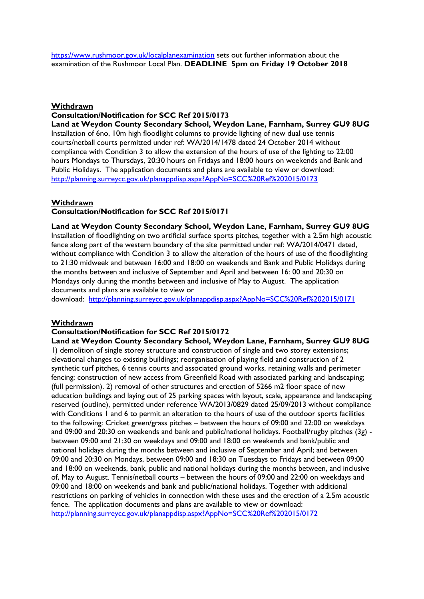<https://www.rushmoor.gov.uk/localplanexamination> sets out further information about the examination of the Rushmoor Local Plan. **DEADLINE 5pm on Friday 19 October 2018**

#### **Withdrawn**

#### **Consultation/Notification for SCC Ref 2015/0173**

**Land at Weydon County Secondary School, Weydon Lane, Farnham, Surrey GU9 8UG** Installation of 6no, 10m high floodlight columns to provide lighting of new dual use tennis courts/netball courts permitted under ref: WA/2014/1478 dated 24 October 2014 without compliance with Condition 3 to allow the extension of the hours of use of the lighting to 22:00 hours Mondays to Thursdays, 20:30 hours on Fridays and 18:00 hours on weekends and Bank and Public Holidays. The application documents and plans are available to view or download: <http://planning.surreycc.gov.uk/planappdisp.aspx?AppNo=SCC%20Ref%202015/0173>

#### **Withdrawn**

#### **Consultation/Notification for SCC Ref 2015/0171**

**Land at Weydon County Secondary School, Weydon Lane, Farnham, Surrey GU9 8UG** Installation of floodlighting on two artificial surface sports pitches, together with a 2.5m high acoustic fence along part of the western boundary of the site permitted under ref: WA/2014/0471 dated, without compliance with Condition 3 to allow the alteration of the hours of use of the floodlighting to 21:30 midweek and between 16:00 and 18:00 on weekends and Bank and Public Holidays during the months between and inclusive of September and April and between 16: 00 and 20:30 on Mondays only during the months between and inclusive of May to August. The application documents and plans are available to view or

download: <http://planning.surreycc.gov.uk/planappdisp.aspx?AppNo=SCC%20Ref%202015/0171>

#### **Withdrawn**

#### **Consultation/Notification for SCC Ref 2015/0172**

**Land at Weydon County Secondary School, Weydon Lane, Farnham, Surrey GU9 8UG** 1) demolition of single storey structure and construction of single and two storey extensions; elevational changes to existing buildings; reorganisation of playing field and construction of 2 synthetic turf pitches, 6 tennis courts and associated ground works, retaining walls and perimeter fencing; construction of new access from Greenfield Road with associated parking and landscaping; (full permission). 2) removal of other structures and erection of 5266 m2 floor space of new education buildings and laying out of 25 parking spaces with layout, scale, appearance and landscaping reserved (outline), permitted under reference WA/2013/0829 dated 25/09/2013 without compliance with Conditions 1 and 6 to permit an alteration to the hours of use of the outdoor sports facilities to the following: Cricket green/grass pitches – between the hours of 09:00 and 22:00 on weekdays and 09:00 and 20:30 on weekends and bank and public/national holidays. Football/rugby pitches (3g) between 09:00 and 21:30 on weekdays and 09:00 and 18:00 on weekends and bank/public and national holidays during the months between and inclusive of September and April; and between 09:00 and 20:30 on Mondays, between 09:00 and 18:30 on Tuesdays to Fridays and between 09:00 and 18:00 on weekends, bank, public and national holidays during the months between, and inclusive of, May to August. Tennis/netball courts – between the hours of 09:00 and 22:00 on weekdays and 09:00 and 18:00 on weekends and bank and public/national holidays. Together with additional restrictions on parking of vehicles in connection with these uses and the erection of a 2.5m acoustic fence. The application documents and plans are available to view or download: <http://planning.surreycc.gov.uk/planappdisp.aspx?AppNo=SCC%20Ref%202015/0172>